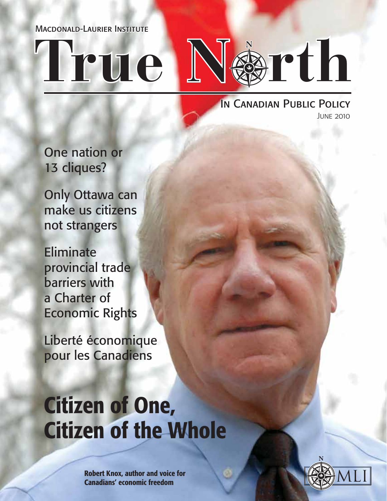Macdonald-Laurier Institute

# **True N rth**

IN CANADIAN PUBLIC POLICY June 2010

One nation or 13 cliques?

Only Ottawa can make us citizens not strangers

Eliminate provincial trade barriers with a Charter of Economic Rights

Liberté économique pour les Canadiens

# Citizen of One, Citizen of the Whole

Robert Knox, author and voice for Canadians' economic freedom

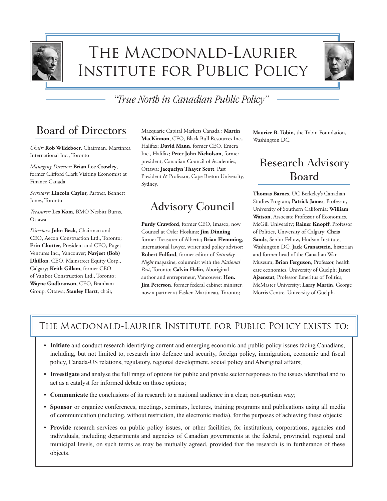

# The Macdonald-Laurier Institute for Public Policy



### *"True North in Canadian Public Policy"*

### Board of Directors

*Chair:* **Rob Wildeboer**, Chairman, Martinrea International Inc., Toronto

*Managing Director:* **Brian Lee Crowley**, former Clifford Clark Visiting Economist at Finance Canada

*Secretary:* **Lincoln Caylor,** Partner, Bennett Jones, Toronto

*Treasurer:* **Les Kom**, BMO Nesbitt Burns, Ottawa

*Directors:* **John Beck**, Chairman and CEO, Aecon Construction Ltd., Toronto; **Erin Chutter**, President and CEO, Puget Ventures Inc., Vancouver; **Navjeet (Bob) Dhillon**, CEO, Mainstreet Equity Corp., Calgary; **Keith Gillam**, former CEO of VanBot Construction Ltd., Toronto; **Wayne Gudbranson**, CEO, Branham Group, Ottawa; **Stanley Hartt**, chair,

Macquarie Capital Markets Canada ; **Martin MacKinnon**, CFO, Black Bull Resources Inc., Halifax; **David Mann**, former CEO, Emera Inc., Halifax; **Peter John Nicholson**, former president, Canadian Council of Academies, Ottawa; **Jacquelyn Thayer Scott**, Past President & Professor, Cape Breton University, Sydney.

### Advisory Council

**Purdy Crawford**, former CEO, Imasco, now Counsel at Osler Hoskins; **Jim Dinning**, former Treasurer of Alberta; **Brian Flemming**, international lawyer, writer and policy advisor; **Robert Fulford**, former editor of *Saturday Night* magazine, columnist with the *National Post*, Toronto; **Calvin Helin**, Aboriginal author and entrepreneur, Vancouver; **Hon. Jim Peterson**, former federal cabinet minister, now a partner at Fasken Martineau, Toronto;

**Maurice B. Tobin**, the Tobin Foundation, Washington DC.

### Research Advisory Board

**Thomas Barnes**, UC Berkeley's Canadian Studies Program; **Patrick James**, Professor, University of Southern California; **William Watson**, Associate Professor of Economics, McGill University; **Rainer Knopff**, Professor of Politics, University of Calgary; **Chris Sands**, Senior Fellow, Hudson Institute, Washington DC; **Jack Granatstein**, historian and former head of the Canadian War Museum; **Brian Ferguson**, Professor, health care economics, University of Guelph; **Janet Ajzenstat**, Professor Emeritus of Politics, McMaster University; **Larry Martin**, George Morris Centre, University of Guelph.

#### The Macdonald-Laurier Institute for Public Policy exists to:

- **• Initiate** and conduct research identifying current and emerging economic and public policy issues facing Canadians, including, but not limited to, research into defence and security, foreign policy, immigration, economic and fiscal policy, Canada-US relations, regulatory, regional development, social policy and Aboriginal affairs;
- **• Investigate** and analyse the full range of options for public and private sector responses to the issues identified and to act as a catalyst for informed debate on those options;
- **• Communicate** the conclusions of its research to a national audience in a clear, non-partisan way;
- **• Sponsor** or organize conferences, meetings, seminars, lectures, training programs and publications using all media of communication (including, without restriction, the electronic media), for the purposes of achieving these objects;
- **• Provide** research services on public policy issues, or other facilities, for institutions, corporations, agencies and individuals, including departments and agencies of Canadian governments at the federal, provincial, regional and municipal levels, on such terms as may be mutually agreed, provided that the research is in furtherance of these objects.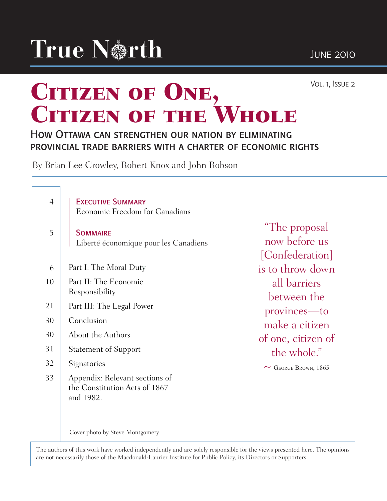

Vol. 1, Issue 2

# CITIZEN OF ONE, CITIZEN OF THE WHOLE

#### How Ottawa can strengthen our nation by eliminating provincial trade barriers with a charter of economic rights

By Brian Lee Crowley, Robert Knox and John Robson

| $\overline{4}$ | <b>EXECUTIVE SUMMARY</b><br><b>Economic Freedom for Canadians</b>            |                                                    |
|----------------|------------------------------------------------------------------------------|----------------------------------------------------|
| 5              | <b>SOMMAIRE</b><br>Liberté économique pour les Canadiens                     | "The proposal"<br>now before us<br>[Confederation] |
| 6              | Part I: The Moral Duty                                                       | is to throw down                                   |
| 10             | Part II: The Economic<br>Responsibility                                      | all barriers<br>between the                        |
| 21             | Part III: The Legal Power                                                    | provinces—to                                       |
| 30             | Conclusion                                                                   | make a citizen                                     |
| 30             | About the Authors                                                            | of one, citizen of                                 |
| 31             | <b>Statement of Support</b>                                                  | the whole."                                        |
| 32             | Signatories                                                                  | GEORGE BROWN, 1865<br>$\sim$                       |
| 33             | Appendix: Relevant sections of<br>the Constitution Acts of 1867<br>and 1982. |                                                    |
|                | Cover photo by Steve Montgomery                                              |                                                    |

The authors of this work have worked independently and are solely responsible for the views presented here. The opinions are not necessarily those of the Macdonald-Laurier Institute for Public Policy, its Directors or Supporters.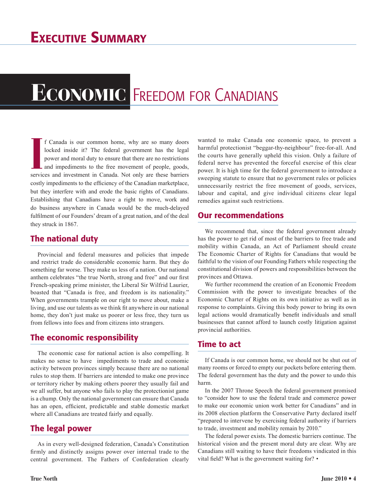# **ECONOMIC** FREEDOM FOR CANADIANS

**I** If Canada is our common home, why are so many doors locked inside it? The federal government has the legal power and moral duty to ensure that there are no restrictions and impediments to the free movement of people, g f Canada is our common home, why are so many doors locked inside it? The federal government has the legal power and moral duty to ensure that there are no restrictions and impediments to the free movement of people, goods, costly impediments to the efficiency of the Canadian marketplace, but they interfere with and erode the basic rights of Canadians. Establishing that Canadians have a right to move, work and do business anywhere in Canada would be the much-delayed fulfilment of our Founders' dream of a great nation, and of the deal they struck in 1867.

#### The national duty

Provincial and federal measures and policies that impede and restrict trade do considerable economic harm. But they do something far worse. They make us less of a nation. Our national anthem celebrates "the true North, strong and free" and our first French-speaking prime minister, the Liberal Sir Wilfrid Laurier, boasted that "Canada is free, and freedom is its nationality." When governments trample on our right to move about, make a living, and use our talents as we think fit anywhere in our national home, they don't just make us poorer or less free, they turn us from fellows into foes and from citizens into strangers.

#### The economic responsibility

The economic case for national action is also compelling. It makes no sense to have impediments to trade and economic activity between provinces simply because there are no national rules to stop them. If barriers are intended to make one province or territory richer by making others poorer they usually fail and we all suffer, but anyone who fails to play the protectionist game is a chump. Only the national government can ensure that Canada has an open, efficient, predictable and stable domestic market where all Canadians are treated fairly and equally.

#### The legal power

As in every well-designed federation, Canada's Constitution firmly and distinctly assigns power over internal trade to the central government. The Fathers of Confederation clearly

wanted to make Canada one economic space, to prevent a harmful protectionist "beggar-thy-neighbour" free-for-all. And the courts have generally upheld this vision. Only a failure of federal nerve has prevented the forceful exercise of this clear power. It is high time for the federal government to introduce a sweeping statute to ensure that no government rules or policies unnecessarily restrict the free movement of goods, services, labour and capital, and give individual citizens clear legal remedies against such restrictions.

#### Our recommendations

We recommend that, since the federal government already has the power to get rid of most of the barriers to free trade and mobility within Canada, an Act of Parliament should create The Economic Charter of Rights for Canadians that would be faithful to the vision of our Founding Fathers while respecting the constitutional division of powers and responsibilities between the provinces and Ottawa.

We further recommend the creation of an Economic Freedom Commission with the power to investigate breaches of the Economic Charter of Rights on its own initiative as well as in response to complaints. Giving this body power to bring its own legal actions would dramatically benefit individuals and small businesses that cannot afford to launch costly litigation against provincial authorities.

#### Time to act

If Canada is our common home, we should not be shut out of many rooms or forced to empty our pockets before entering them. The federal government has the duty and the power to undo this harm.

In the 2007 Throne Speech the federal government promised to "consider how to use the federal trade and commerce power to make our economic union work better for Canadians" and in its 2008 election platform the Conservative Party declared itself "prepared to intervene by exercising federal authority if barriers to trade, investment and mobility remain by 2010."

The federal power exists. The domestic barriers continue. The historical vision and the present moral duty are clear. Why are Canadians still waiting to have their freedoms vindicated in this vital field? What is the government waiting for? •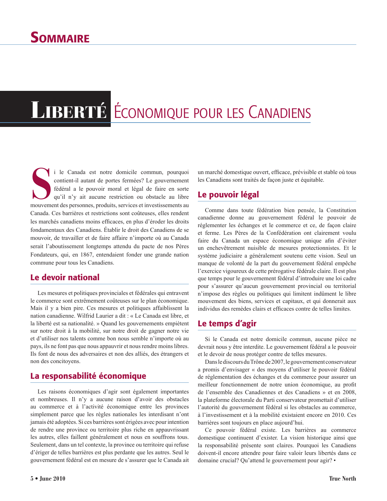# LIBERTÉ ÉCONOMIQUE POUR LES CANADIENS

i le Canada est notre domicile commun, pourquoi contient-il autant de portes fermées? Le gouvernement fédéral a le pouvoir moral et légal de faire en sorte qu'il n'y ait aucune restriction ou obstacle au libre mouvement de i le Canada est notre domicile commun, pourquoi contient-il autant de portes fermées? Le gouvernement fédéral a le pouvoir moral et légal de faire en sorte qu'il n'y ait aucune restriction ou obstacle au libre Canada. Ces barrières et restrictions sont coûteuses, elles rendent les marchés canadiens moins efficaces, en plus d'éroder les droits fondamentaux des Canadiens. Établir le droit des Canadiens de se mouvoir, de travailler et de faire affaire n'importe où au Canada serait l'aboutissement longtemps attendu du pacte de nos Pères Fondateurs, qui, en 1867, entendaient fonder une grande nation commune pour tous les Canadiens.

#### Le devoir national

Les mesures et politiques provinciales et fédérales qui entravent le commerce sont extrêmement coûteuses sur le plan économique. Mais il y a bien pire. Ces mesures et politiques affaiblissent la nation canadienne. Wilfrid Laurier a dit : « Le Canada est libre, et la liberté est sa nationalité. » Quand les gouvernements empiètent sur notre droit à la mobilité, sur notre droit de gagner notre vie et d'utiliser nos talents comme bon nous semble n'importe où au pays, ils ne font pas que nous appauvrir et nous rendre moins libres. Ils font de nous des adversaires et non des alliés, des étrangers et non des concitoyens.

#### La responsabilité économique

Les raisons économiques d'agir sont également importantes et nombreuses. Il n'y a aucune raison d'avoir des obstacles au commerce et à l'activité économique entre les provinces simplement parce que les règles nationales les interdisant n'ont jamais été adoptées. Si ces barrières sont érigées avec pour intention de rendre une province ou territoire plus riche en appauvrissant les autres, elles faillent généralement et nous en souffrons tous. Seulement, dans un tel contexte, la province ou territoire qui refuse d'ériger de telles barrières est plus perdante que les autres. Seul le gouvernement fédéral est en mesure de s'assurer que le Canada ait un marché domestique ouvert, efficace, prévisible et stable où tous les Canadiens sont traités de façon juste et équitable.

#### Le pouvoir légal

Comme dans toute fédération bien pensée, la Constitution canadienne donne au gouvernement fédéral le pouvoir de réglementer les échanges et le commerce et ce, de façon claire et ferme. Les Pères de la Confédération ont clairement voulu faire du Canada un espace économique unique afin d'éviter un enchevêtrement nuisible de mesures protectionnistes. Et le système judiciaire a généralement soutenu cette vision. Seul un manque de volonté de la part du gouvernement fédéral empêche l'exercice vigoureux de cette prérogative fédérale claire. Il est plus que temps pour le gouvernement fédéral d'introduire une loi cadre pour s'assurer qu'aucun gouvernement provincial ou territorial n'impose des règles ou politiques qui limitent indûment le libre mouvement des biens, services et capitaux, et qui donnerait aux individus des remèdes clairs et efficaces contre de telles limites.

#### Le temps d'agir

Si le Canada est notre domicile commun, aucune pièce ne devrait nous y être interdite. Le gouvernement fédéral a le pouvoir et le devoir de nous protéger contre de telles mesures.

Dans le discours du Trône de 2007, le gouvernement conservateur a promis d'envisager « des moyens d'utiliser le pouvoir fédéral de réglementation des échanges et du commerce pour assurer un meilleur fonctionnement de notre union économique, au profit de l'ensemble des Canadiennes et des Canadiens » et en 2008, la plateforme électorale du Parti conservateur promettait d'utiliser l'autorité du gouvernement fédéral si les obstacles au commerce, à l'investissement et à la mobilité existaient encore en 2010. Ces barrières sont toujours en place aujourd'hui.

Ce pouvoir fédéral existe. Les barrières au commerce domestique continuent d'exister. La vision historique ainsi que la responsabilité présente sont claires. Pourquoi les Canadiens doivent-il encore attendre pour faire valoir leurs libertés dans ce domaine crucial? Qu'attend le gouvernement pour agir? •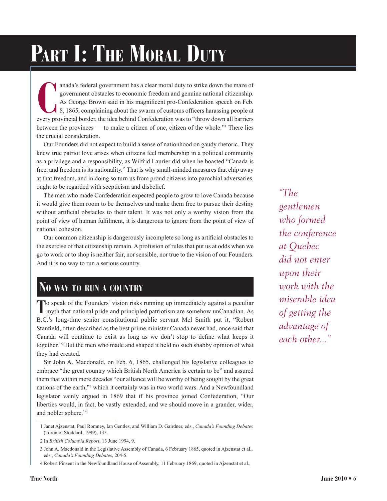# PART I: THE MORAL DUTY

**CONFIGURER 19 and a**'s federal government has a clear moral duty to strike down the maze of government obstacles to economic freedom and genuine national citizenship.<br>As George Brown said in his magnificent pro-Confederat anada's federal government has a clear moral duty to strike down the maze of government obstacles to economic freedom and genuine national citizenship. As George Brown said in his magnificent pro-Confederation speech on Feb. 8, 1865, complaining about the swarm of customs officers harassing people at between the provinces — to make a citizen of one, citizen of the whole."1 There lies the crucial consideration.

Our Founders did not expect to build a sense of nationhood on gaudy rhetoric. They knew true patriot love arises when citizens feel membership in a political community as a privilege and a responsibility, as Wilfrid Laurier did when he boasted "Canada is free, and freedom is its nationality." That is why small-minded measures that chip away at that freedom, and in doing so turn us from proud citizens into parochial adversaries, ought to be regarded with scepticism and disbelief.

The men who made Confederation expected people to grow to love Canada because it would give them room to be themselves and make them free to pursue their destiny without artificial obstacles to their talent. It was not only a worthy vision from the point of view of human fulfilment, it is dangerous to ignore from the point of view of national cohesion.

Our common citizenship is dangerously incomplete so long as artificial obstacles to the exercise of that citizenship remain. A profusion of rules that put us at odds when we go to work or to shop is neither fair, nor sensible, nor true to the vision of our Founders. And it is no way to run a serious country.

## **No way to run <sup>a</sup> country**

**To** speak of the Founders' vision risks running up immediately against a peculiar myth that national pride and principled patriotism are somehow unCanadian. As B.C.'s long-time senior constitutional public servant Mel Smith put it, "Robert Stanfield, often described as the best prime minister Canada never had, once said that Canada will continue to exist as long as we don't stop to define what keeps it together."2 But the men who made and shaped it held no such shabby opinion of what they had created.

Sir John A. Macdonald, on Feb. 6, 1865, challenged his legislative colleagues to embrace "the great country which British North America is certain to be" and assured them that within mere decades "our alliance will be worthy of being sought by the great nations of the earth,"3 which it certainly was in two world wars. And a Newfoundland legislator vainly argued in 1869 that if his province joined Confederation, "Our liberties would, in fact, be vastly extended, and we should move in a grander, wider, and nobler sphere."4

*"The gentlemen who formed the conference at Quebec did not enter upon their work with the miserable idea of getting the advantage of each other..."*

<sup>1</sup> Janet Ajzenstat, Paul Romney, Ian Gentles, and William D. Gairdner, eds., *Canada's Founding Debates* (Toronto: Stoddard, 1999), 135.

<sup>2</sup> In *British Columbia Report*, 13 June 1994, 9.

<sup>3</sup> John A. Macdonald in the Legislative Assembly of Canada, 6 February 1865, quoted in Ajzenstat et al., eds., *Canada's Founding Debates*, 204-5.

<sup>4</sup> Robert Pinsent in the Newfoundland House of Assembly, 11 February 1869, quoted in Ajzenstat et al.,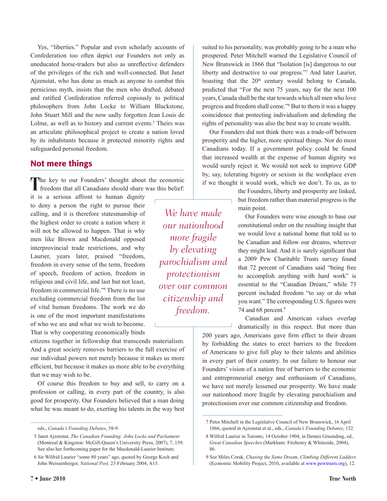Yes, "liberties." Popular and even scholarly accounts of Confederation too often depict our Founders not only as uneducated horse-traders but also as unreflective defenders of the privileges of the rich and well-connected. But Janet Ajzenstat, who has done as much as anyone to combat this pernicious myth, insists that the men who drafted, debated and ratified Confederation referred copiously to political philosophers from John Locke to William Blackstone, John Stuart Mill and the now sadly forgotten Jean Louis de Lolme, as well as to history and current events.<sup>5</sup> Theirs was an articulate philosophical project to create a nation loved by its inhabitants because it protected minority rights and safeguarded personal freedom.

#### Not mere things

The key to our Founders' thought about the economic freedom that all Canadians should share was this belief:

it is a serious affront to human dignity to deny a person the right to pursue their calling, and it is therefore statesmanship of the highest order to create a nation where it will not be allowed to happen. That is why men like Brown and Macdonald opposed interprovincial trade restrictions, and why Laurier, years later, praised "freedom, freedom in every sense of the term, freedom of speech, freedom of action, freedom in religious and civil life, and last but not least, freedom in commercial life."6 There is no use excluding commercial freedom from the list of vital human freedoms. The work we do is one of the most important manifestations of who we are and what we wish to become. That is why cooperating economically binds

citizens together in fellowship that transcends materialism. And a great society removes barriers to the full exercise of our individual powers not merely because it makes us more efficient, but because it makes us more able to be everything that we may wish to be.

Of course this freedom to buy and sell, to carry on a profession or calling, in every part of the country, is also good for prosperity. Our Founders believed that a man doing what he was meant to do, exerting his talents in the way best

*We have made our nationhood more fragile by elevating parochialism and protectionism over our common citizenship and freedom.*

suited to his personality, was probably going to be a man who prospered. Peter Mitchell warned the Legislative Council of New Brunswick in 1866 that "Isolation [is] dangerous to our liberty and destructive to our progress."7 And later Laurier, boasting that the  $20<sup>th</sup>$  century would belong to Canada, predicted that "For the next 75 years, nay for the next 100 years, Canada shall be the star towards which all men who love progress and freedom shall come."8 But to them it was a happy coincidence that protecting individualism and defending the rights of personality was also the best way to create wealth.

Our Founders did not think there was a trade-off between prosperity and the higher, more spiritual things. Nor do most Canadians today. If a government policy could be found that increased wealth at the expense of human dignity we would surely reject it. We would not seek to improve GDP by, say, tolerating bigotry or sexism in the workplace even if we thought it would work, which we don't. To us, as to

> the Founders, liberty and prosperity are linked, but freedom rather than material progress is the main point.

> Our Founders were wise enough to base our constitutional order on the resulting insight that we would love a national home that told us to be Canadian and follow our dreams, wherever they might lead. And it is surely significant that a 2009 Pew Charitable Trusts survey found that 72 percent of Canadians said "being free to accomplish anything with hard work" is essential to the "Canadian Dream," while 73 percent included freedom "to say or do what you want." The corresponding U.S. figures were 74 and 68 percent.<sup>9</sup>

> Canadian and American values overlap dramatically in this respect. But more than

200 years ago, Americans gave firm effect to their dream by forbidding the states to erect barriers to the freedom of Americans to give full play to their talents and abilities in every part of their country. In our failure to honour our Founders' vision of a nation free of barriers to the economic and entrepreneurial energy and enthusiasm of Canadians, we have not merely lessened our prosperity. We have made our nationhood more fragile by elevating parochialism and protectionism over our common citizenship and freedom.

eds., *Canada's Founding Debates*, 58-9.

<sup>5</sup> Janet Ajzenstat, *The Canadian Founding: John Locke and Parliament* (Montreal & Kingston: McGill-Queen's University Press, 2007), 7, 139. See also her forthcoming paper for the Macdonald-Laurier Institute.

<sup>6</sup> Sir Wilfrid Laurier "some 80 years" ago, quoted by George Koch and John Weissenberger, *National Post,* 23 February 2004, A13.

<sup>7</sup> Peter Mitchell in the Legislative Council of New Brunswick, 16 April 1866, quoted in Ajzenstat et al., eds., *Canada's Founding Debates*, 132.

<sup>8</sup> Wilfrid Laurier in Toronto, 14 October 1904, in Dennis Gruending, ed., *Great Canadian Speeches* (Markham: Fitzhenry & Whiteside, 2004), 86.

<sup>9</sup> See Miles Corak, *Chasing the Same Dream, Climbing Different Ladders* (Economic Mobility Project, 2010, available at w[ww.pewtrusts.org\),](http://www.pewtrusts.org) 12.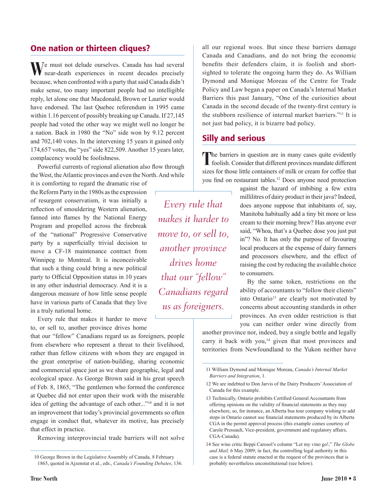#### One nation or thirteen cliques?

 $\blacksquare$ /e must not delude ourselves. Canada has had several near-death experiences in recent decades precisely because, when confronted with a party that said Canada didn't make sense, too many important people had no intelligible reply, let alone one that Macdonald, Brown or Laurier would have endorsed. The last Quebec referendum in 1995 came within 1.16 percent of possibly breaking up Canada. If 27,145 people had voted the other way we might well no longer be a nation. Back in 1980 the "No" side won by 9.12 percent and 702,140 votes. In the intervening 15 years it gained only 174,657 votes, the "yes" side 822,509. Another 15 years later, complacency would be foolishness.

Powerful currents of regional alienation also flow through the West, the Atlantic provinces and even the North. And while

it is comforting to regard the dramatic rise of the Reform Party in the 1980s as the expression of resurgent conservatism, it was initially a reflection of smouldering Western alienation, fanned into flames by the National Energy Program and propelled across the firebreak of the "national" Progressive Conservative party by a superficially trivial decision to move a CF-18 maintenance contract from Winnipeg to Montreal. It is inconceivable that such a thing could bring a new political party to Official Opposition status in 10 years in any other industrial democracy. And it is a dangerous measure of how little sense people have in various parts of Canada that they live in a truly national home.

Every rule that makes it harder to move to, or sell to, another province drives home

that our "fellow" Canadians regard us as foreigners, people from elsewhere who represent a threat to their livelihood, rather than fellow citizens with whom they are engaged in the great enterprise of nation-building, sharing economic and commercial space just as we share geographic, legal and ecological space. As George Brown said in his great speech of Feb. 8, 1865, "The gentlemen who formed the conference at Quebec did not enter upon their work with the miserable idea of getting the advantage of each other..."10 and it is not an improvement that today's provincial governments so often engage in conduct that, whatever its motive, has precisely that effect in practice.

Removing interprovincial trade barriers will not solve

all our regional woes. But since these barriers damage Canada and Canadians, and do not bring the economic benefits their defenders claim, it is foolish and shortsighted to tolerate the ongoing harm they do. As William Dymond and Monique Moreau of the Centre for Trade Policy and Law began a paper on Canada's Internal Market Barriers this past January, "One of the curiosities about Canada in the second decade of the twenty-first century is the stubborn resilience of internal market barriers."11 It is not just bad policy, it is bizarre bad policy.

#### Silly and serious

The barriers in question are in many cases quite evidently foolish. Consider that different provinces mandate different sizes for those little containers of milk or cream for coffee that you find on restaurant tables.12 Does anyone need protection

*Every rule that makes it harder to move to, or sell to, another province drives home that our "fellow" Canadians regard us as foreigners.*

against the hazard of imbibing a few extra millilitres of dairy product in their java? Indeed, does anyone suppose that inhabitants of, say, Manitoba habitually add a tiny bit more or less cream to their morning brew? Has anyone ever said, "Whoa, that's a Quebec dose you just put in"? No. It has only the purpose of favouring local producers at the expense of dairy farmers and processors elsewhere, and the effect of raising the cost by reducing the available choice to consumers.

By the same token, restrictions on the ability of accountants to "follow their clients" into Ontario<sup>13</sup> are clearly not motivated by concerns about accounting standards in other provinces. An even odder restriction is that you can neither order wine directly from

another province nor, indeed, buy a single bottle and legally carry it back with you,<sup>14</sup> given that most provinces and territories from Newfoundland to the Yukon neither have

<sup>10</sup> George Brown in the Legislative Assembly of Canada, 8 February 1865, quoted in Ajzenstat et al., eds., *Canada's Founding Debates*, 136.

<sup>11</sup> William Dymond and Monique Moreau, *Canada's Internal Market Barriers and Integration*, 1.

<sup>12</sup> We are indebted to Don Jarvis of the Dairy Producers' Association of Canada for this example.

<sup>13</sup> Technically, Ontario prohibits Certified General Accountants from offering opinions on the validity of financial statements as they may elsewhere, so, for instance, an Alberta bus tour company wishing to add stops in Ontario cannot use financial statements produced by its Alberta CGA in the permit approval process (this example comes courtesy of Carole Pressault, Vice-president, government and regulatory affairs, CGA-Canada).

<sup>14</sup> See wine critic Beppi Carosol's column "Let my vino go!," *The Globe and Mail,* 6 May 2009; in fact, the controlling legal authority in this case is a federal statute enacted at the request of the provinces that is probably nevertheless unconstitutional (see below).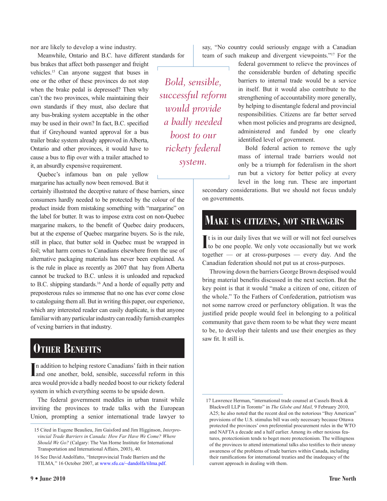nor are likely to develop a wine industry.

Meanwhile, Ontario and B.C. have different standards for bus brakes that affect both passenger and freight vehicles.15 Can anyone suggest that buses in one or the other of these provinces do not stop when the brake pedal is depressed? Then why can't the two provinces, while maintaining their own standards if they must, also declare that any bus-braking system acceptable in the other may be used in their own? In fact, B.C. specified that if Greyhound wanted approval for a bus trailer brake system already approved in Alberta, Ontario and other provinces, it would have to cause a bus to flip over with a trailer attached to it, an absurdly expensive requirement.

Quebec's infamous ban on pale yellow margarine has actually now been removed. But it

certainly illustrated the deceptive nature of these barriers, since consumers hardly needed to be protected by the colour of the product inside from mistaking something with "margarine" on the label for butter. It was to impose extra cost on non-Quebec margarine makers, to the benefit of Quebec dairy producers, but at the expense of Quebec margarine buyers. So is the rule, still in place, that butter sold in Quebec must be wrapped in foil; what harm comes to Canadians elsewhere from the use of alternative packaging materials has never been explained. As is the rule in place as recently as 2007 that hay from Alberta cannot be trucked to B.C. unless it is unloaded and repacked to B.C. shipping standards.16 And a horde of equally petty and preposterous rules so immense that no one has ever come close to cataloguing them all. But in writing this paper, our experience, which any interested reader can easily duplicate, is that anyone familiar with any particular industry can readily furnish examples of vexing barriers in that industry.

## **Other Benefits**

In addition to helping restore Canadians' faith in their nation<br>and one another, bold, sensible, successful reform in this and one another, bold, sensible, successful reform in this area would provide a badly needed boost to our rickety federal system in which everything seems to be upside down.

The federal government meddles in urban transit while inviting the provinces to trade talks with the European Union, prompting a senior international trade lawyer to say, "No country could seriously engage with a Canadian team of such makeup and divergent viewpoints."17 For the

*Bold, sensible, successful reform would provide a badly needed boost to our rickety federal system.*

federal government to relieve the provinces of the considerable burden of debating specific barriers to internal trade would be a service in itself. But it would also contribute to the strengthening of accountability more generally, by helping to disentangle federal and provincial responsibilities. Citizens are far better served when most policies and programs are designed, administered and funded by one clearly identified level of government.

Bold federal action to remove the ugly mass of internal trade barriers would not only be a triumph for federalism in the short run but a victory for better policy at every level in the long run. These are important

secondary considerations. But we should not focus unduly on governments.

### **Make us citizens, not strangers**

It is in our daily lives that we will or will not feel ourselves<br>to be one people. We only vote occasionally but we work  $\blacksquare$  t is in our daily lives that we will or will not feel ourselves together — or at cross-purposes — every day. And the Canadian federation should not put us at cross-purposes.

Throwing down the barriers George Brown despised would bring material benefits discussed in the next section. But the key point is that it would "make a citizen of one, citizen of the whole." To the Fathers of Confederation, patriotism was not some narrow creed or perfunctory obligation. It was the justified pride people would feel in belonging to a political community that gave them room to be what they were meant to be, to develop their talents and use their energies as they saw fit. It still is.

<sup>15</sup> Cited in Eugene Beaulieu, Jim Gaisford and Jim Higginson, *Interprovincial Trade Barriers in Canada: How Far Have We Come? Where Should We Go?* (Calgary: The Van Horne Institute for International Transportation and International Affairs, 2003), 40.

<sup>16</sup> See David Andolfatto, "Interprovincial Trade Barriers and the TILMA*,*" 16 October 2007, at [www.sfu.ca/~dandolfa/tilma.pdf.](http://www.sfu.ca/~dandolfa/tilma.pdf)

<sup>17</sup> Lawrence Herman, "international trade counsel at Cassels Brock & Blackwell LLP in Toronto" in *The Globe and Mail,* 9 February 2010, A25; he also noted that the recent deal on the notorious "Buy American" provisions of the U.S. stimulus bill was only necessary because Ottawa protected the provinces' own preferential procurement rules in the WTO and NAFTA a decade and a half earlier. Among its other noxious features, protectionism tends to beget more protectionism. The willingness of the provinces to attend international talks also testifies to their uneasy awareness of the problems of trade barriers within Canada, including their ramifications for international treaties and the inadequacy of the current approach in dealing with them.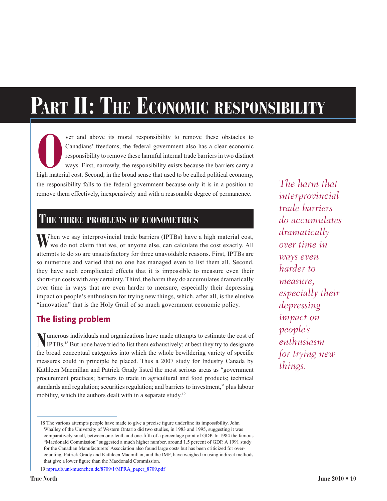# **Part II: The Economic responsibility**

**O**ver and above its moral responsibility to remove these obstacles to Canadians' freedoms, the federal government also has a clear economic responsibility to remove these harmful internal trade barriers in two distinct wa Canadians' freedoms, the federal government also has a clear economic responsibility to remove these harmful internal trade barriers in two distinct ways. First, narrowly, the responsibility exists because the barriers carry a high material cost. Second, in the broad sense that used to be called political economy, the responsibility falls to the federal government because only it is in a position to remove them effectively, inexpensively and with a reasonable degree of permanence.

#### **The three problems of econometrics**

When we say interprovincial trade barriers (IPTBs) have a high material cost, we do not claim that we, or anyone else, can calculate the cost exactly. All attempts to do so are unsatisfactory for three unavoidable reasons. First, IPTBs are so numerous and varied that no one has managed even to list them all. Second, they have such complicated effects that it is impossible to measure even their short-run costs with any certainty. Third, the harm they do accumulates dramatically over time in ways that are even harder to measure, especially their depressing impact on people's enthusiasm for trying new things, which, after all, is the elusive "innovation" that is the Holy Grail of so much government economic policy.

#### The listing problem

**N**umerous individuals and organizations have made attempts to estimate the cost of IPTBs.<sup>18</sup> But none have tried to list them exhaustively; at best they try to designate the broad conceptual categories into which the whole bewildering variety of specific measures could in principle be placed. Thus a 2007 study for Industry Canada by Kathleen Macmillan and Patrick Grady listed the most serious areas as "government procurement practices; barriers to trade in agricultural and food products; technical standards and regulation; securities regulation; and barriers to investment," plus labour mobility, which the authors dealt with in a separate study.<sup>19</sup>

*The harm that interprovincial trade barriers do accumulates dramatically over time in ways even harder to measure, especially their depressing impact on people's enthusiasm for trying new things.*

<sup>18</sup> The various attempts people have made to give a precise figure underline its impossibility. John Whalley of the University of Western Ontario did two studies, in 1983 and 1995, suggesting it was comparatively small, between one-tenth and one-fifth of a percentage point of GDP. In 1984 the famous "Macdonald Commission" suggested a much higher number, around 1.5 percent of GDP. A 1991 study for the Canadian Manufacturers' Association also found large costs but has been criticized for overcounting. Patrick Grady and Kathleen Macmillan, and the IMF, have weighed in using indirect methods that give a lower figure than the Macdonald Commission.

<sup>19</sup> [mpra.ub.uni-muenchen.de/8709/1/MPRA\\_paper\\_8709.pdf](http://mpra.ub.uni-muenchen.de/8709/1/MPRA_paper_8709.pdf)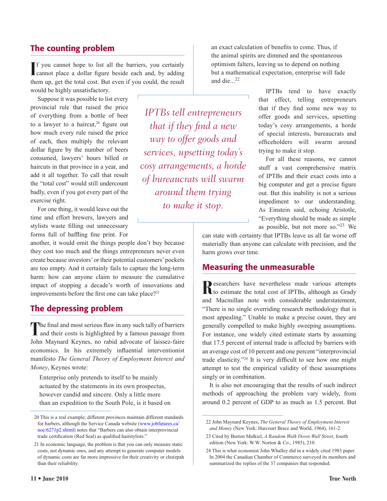#### The counting problem

If you cannot hope to list all the barriers, you certainly cannot place a dollar figure beside each and, by adding cannot place a dollar figure beside each and, by adding them up, get the total cost. But even if you could, the result would be highly unsatisfactory.

Suppose it was possible to list every provincial rule that raised the price of everything from a bottle of beer to a lawyer to a haircut,<sup>20</sup> figure out how much every rule raised the price of each, then multiply the relevant dollar figure by the number of beers consumed, lawyers' hours billed or haircuts in that province in a year, and add it all together. To call that result the "total cost" would still undercount badly, even if you got every part of the exercise right.

For one thing, it would leave out the time and effort brewers, lawyers and stylists waste filling out unnecessary forms full of baffling fine print. For

another, it would omit the things people don't buy because they cost too much and the things entrepreneurs never even create because investors' or their potential customers' pockets are too empty. And it certainly fails to capture the long-term harm: how can anyone claim to measure the cumulative impact of stopping a decade's worth of innovations and improvements before the first one can take place?<sup>21</sup>

#### The depressing problem

The final and most serious flaw in any such tally of barriers and their costs is highlighted by a famous passage from John Maynard Keynes, no rabid advocate of laissez-faire economics. In his extremely influential interventionist manifesto *The General Theory of Employment Interest and Money*, Keynes wrote:

Enterprise only pretends to itself to be mainly actuated by the statements in its own prospectus, however candid and sincere. Only a little more than an expedition to the South Pole, is it based on

*IPTBs tell entrepreneurs that if they find a new way to offer goods and services, upsetting today's cosy arrangements, a horde of bureaucrats will swarm around them trying to make it stop.*

an exact calculation of benefits to come. Thus, if the animal spirits are dimmed and the spontaneous optimism falters, leaving us to depend on nothing but a mathematical expectation, enterprise will fade and die...<sup>22</sup>

> IPTBs tend to have exactly that effect, telling entrepreneurs that if they find some new way to offer goods and services, upsetting today's cosy arrangements, a horde of special interests, bureaucrats and officeholders will swarm around trying to make it stop.

> For all these reasons, we cannot stuff a vast comprehensive matrix of IPTBs and their exact costs into a big computer and get a precise figure out. But this inability is not a serious impediment to our understanding. As Einstein said, echoing Aristotle, "Everything should be made as simple as possible, but not more so."23 We

can state with certainty that IPTBs leave us all far worse off materially than anyone can calculate with precision, and the harm grows over time.

#### Measuring the unmeasurable

Researchers have nevertheless made various attempts to estimate the total cost of IPTBs, although as Grady and Macmillan note with considerable understatement, "There is no single overriding research methodology that is most appealing." Unable to make a precise count, they are generally compelled to make highly sweeping assumptions. For instance, one widely cited estimate starts by assuming that 17.5 percent of internal trade is affected by barriers with an average cost of 10 percent and one percent "interprovincial trade elasticity."24 It is very difficult to see how one might attempt to test the empirical validity of these assumptions singly or in combination.

It is also not encouraging that the results of such indirect methods of approaching the problem vary widely, from around 0.2 percent of GDP to as much as 1.5 percent. But

<sup>20</sup> This is a real example; different provinces maintain different standards for barbers, although the Service Canada website [\(www.jobfutures.ca/](www.jobfutures.ca/noc/6271p2.shtml) [noc/6271p2.shtml](www.jobfutures.ca/noc/6271p2.shtml)) notes that "Barbers can also obtain interprovincial trade certification (Red Seal) as qualified hairstylists."

<sup>21</sup> In economic language, the problem is that you can only measure static costs, not dynamic ones, and any attempt to generate computer models of dynamic costs are far more impressive for their creativity or chutzpah than their reliability.

<sup>22</sup> John Maynard Keynes, *The General Theory of Employment Interest and Money* (New York: Harcourt Brace and World, 1964), 161-2.

<sup>23</sup> Cited by Burton Malkiel, *A Random Walk Down Wall Street*, fourth edition (New York: W.W. Norton & Co., 1985), 210.

<sup>24</sup> This is what economist John Whalley did in a widely cited 1983 paper. In 2004 the Canadian Chamber of Commerce surveyed its members and summarized the replies of the 37 companies that responded.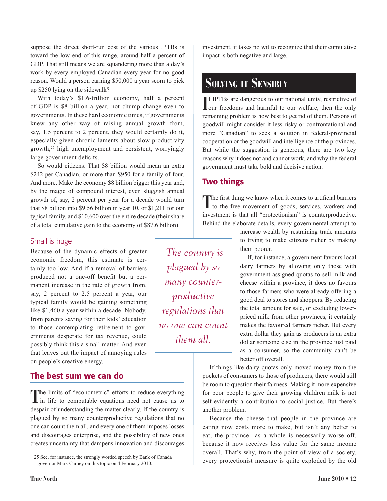suppose the direct short-run cost of the various IPTBs is toward the low end of this range, around half a percent of GDP. That still means we are squandering more than a day's work by every employed Canadian every year for no good reason. Would a person earning \$50,000 a year scorn to pick up \$250 lying on the sidewalk?

With today's \$1.6-trillion economy, half a percent of GDP is \$8 billion a year, not chump change even to governments. In these hard economic times, if governments knew any other way of raising annual growth from, say, 1.5 percent to 2 percent, they would certainly do it, especially given chronic laments about slow productivity growth,<sup>25</sup> high unemployment and persistent, worryingly large government deficits.

So would citizens. That \$8 billion would mean an extra \$242 per Canadian, or more than \$950 for a family of four. And more. Make the economy \$8 billion bigger this year and, by the magic of compound interest, even sluggish annual growth of, say, 2 percent per year for a decade would turn that \$8 billion into \$9.56 billion in year 10, or \$1,211 for our typical family, and \$10,600 over the entire decade (their share of a total cumulative gain to the economy of \$87.6 billion).

#### Small is huge

Because of the dynamic effects of greater economic freedom, this estimate is certainly too low. And if a removal of barriers produced not a one-off benefit but a permanent increase in the rate of growth from, say, 2 percent to 2.5 percent a year, our typical family would be gaining something like \$1,460 a year within a decade. Nobody, from parents saving for their kids' education to those contemplating retirement to governments desperate for tax revenue, could possibly think this a small matter. And even that leaves out the impact of annoying rules on people's creative energy.

#### The best sum we can do

**T**he limits of "econometric" efforts to reduce everything in life to computable equations need not cause us to despair of understanding the matter clearly. If the country is plagued by so many counterproductive regulations that no one can count them all, and every one of them imposes losses and discourages enterprise, and the possibility of new ones creates uncertainty that dampens innovation and discourages

investment, it takes no wit to recognize that their cumulative impact is both negative and large.

### **Solving it Sensibly**

If IPTBs are dangerous to our national unity, restrictive of our freedoms and harmful to our welfare, then the only f IPTBs are dangerous to our national unity, restrictive of remaining problem is how best to get rid of them. Persons of goodwill might consider it less risky or confrontational and more "Canadian" to seek a solution in federal-provincial cooperation or the goodwill and intelligence of the provinces. But while the suggestion is generous, there are two key reasons why it does not and cannot work, and why the federal government must take bold and decisive action.

#### Two things

The first thing we know when it comes to artificial barriers I to the free movement of goods, services, workers and investment is that all "protectionism" is counterproductive. Behind the elaborate details, every governmental attempt to

> increase wealth by restraining trade amounts to trying to make citizens richer by making them poorer.

> If, for instance, a government favours local dairy farmers by allowing only those with government-assigned quotas to sell milk and cheese within a province, it does no favours to those farmers who were already offering a good deal to stores and shoppers. By reducing the total amount for sale, or excluding lowerpriced milk from other provinces, it certainly makes the favoured farmers richer. But every extra dollar they gain as producers is an extra dollar someone else in the province just paid as a consumer, so the community can't be better off overall.

If things like dairy quotas only moved money from the pockets of consumers to those of producers, there would still be room to question their fairness. Making it more expensive for poor people to give their growing children milk is not self-evidently a contribution to social justice. But there's another problem.

Because the cheese that people in the province are eating now costs more to make, but isn't any better to eat, the province as a whole is necessarily worse off, because it now receives less value for the same income overall. That's why, from the point of view of a society, every protectionist measure is quite exploded by the old

*plagued by so many counterproductive regulations that no one can count them all.*

 *The country is* 

<sup>25</sup> See, for instance, the strongly worded speech by Bank of Canada governor Mark Carney on this topic on 4 February 2010.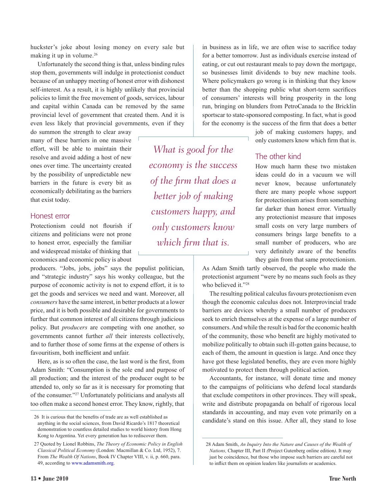huckster's joke about losing money on every sale but making it up in volume.<sup>26</sup>

Unfortunately the second thing is that, unless binding rules stop them, governments will indulge in protectionist conduct because of an unhappy meeting of honest error with dishonest self-interest. As a result, it is highly unlikely that provincial policies to limit the free movement of goods, services, labour and capital within Canada can be removed by the same provincial level of government that created them. And it is even less likely that provincial governments, even if they

do summon the strength to clear away many of these barriers in one massive effort, will be able to maintain their resolve and avoid adding a host of new ones over time. The uncertainty created by the possibility of unpredictable new barriers in the future is every bit as economically debilitating as the barriers that exist today.

#### Honest error

Protectionism could not flourish if citizens and politicians were not prone to honest error, especially the familiar and widespread mistake of thinking that economics and economic policy is about

producers. "Jobs, jobs, jobs" says the populist politician, and "strategic industry" says his wonky colleague, but the purpose of economic activity is not to expend effort, it is to get the goods and services we need and want. Moreover, all *consumers* have the same interest, in better products at a lower price, and it is both possible and desirable for governments to further that common interest of all citizens through judicious policy. But *producers* are competing with one another, so governments cannot further *all* their interests collectively, and to further those of some firms at the expense of others is favouritism, both inefficient and unfair.

Here, as is so often the case, the last word is the first, from Adam Smith: "Consumption is the sole end and purpose of all production; and the interest of the producer ought to be attended to, only so far as it is necessary for promoting that of the consumer."27 Unfortunately politicians and analysts all too often make a second honest error. They know, rightly, that

*What is good for the economy is the success of the firm that does a better job of making customers happy, and only customers know which firm that is.*

in business as in life, we are often wise to sacrifice today for a better tomorrow. Just as individuals exercise instead of eating, or cut out restaurant meals to pay down the mortgage, so businesses limit dividends to buy new machine tools. Where policymakers go wrong is in thinking that they know better than the shopping public what short-term sacrifices of consumers' interests will bring prosperity in the long run, bringing on blunders from PetroCanada to the Bricklin sportscar to state-sponsored composting. In fact, what is good for the economy is the success of the firm that does a better

> job of making customers happy, and only customers know which firm that is.

#### The other kind

How much harm these two mistaken ideas could do in a vacuum we will never know, because unfortunately there are many people whose support for protectionism arises from something far darker than honest error. Virtually any protectionist measure that imposes small costs on very large numbers of consumers brings large benefits to a small number of producers, who are very definitely aware of the benefits they gain from that same protectionism.

As Adam Smith tartly observed, the people who made the protectionist argument "were by no means such fools as they who believed it."<sup>28</sup>

The resulting political calculus favours protectionism even though the economic calculus does not. Interprovincial trade barriers are devices whereby a small number of producers seek to enrich themselves at the expense of a large number of consumers. And while the result is bad for the economic health of the community, those who benefit are highly motivated to mobilize politically to obtain such ill-gotten gains because, to each of them, the amount in question is large. And once they have got these legislated benefits, they are even more highly motivated to protect them through political action.

Accountants, for instance, will donate time and money to the campaigns of politicians who defend local standards that exclude competitors in other provinces. They will speak, write and distribute propaganda on behalf of rigorous local standards in accounting, and may even vote primarily on a candidate's stand on this issue. After all, they stand to lose

<sup>26</sup> It is curious that the benefits of trade are as well established as anything in the social sciences, from David Ricardo's 1817 theoretical demonstration to countless detailed studies to world history from Hong Kong to Argentina. Yet every generation has to rediscover them.

<sup>27</sup> Quoted by Lionel Robbins, *The Theory of Economic Policy in English Classical Political Economy* (London: Macmillan & Co. Ltd, 1952), 7. From *The Wealth Of Nations*, Book IV Chapter VIII, v. ii, p. 660, para. 49, according to [www.adamsmith.org.](www.adamsmith.org)

<sup>28</sup> Adam Smith, *An Inquiry Into the Nature and Causes of the Wealth of Nations,* Chapter III, Part II *(*Project Gutenberg online edition*)*. It may just be coincidence, but those who impose such barriers are careful not to inflict them on opinion leaders like journalists or academics.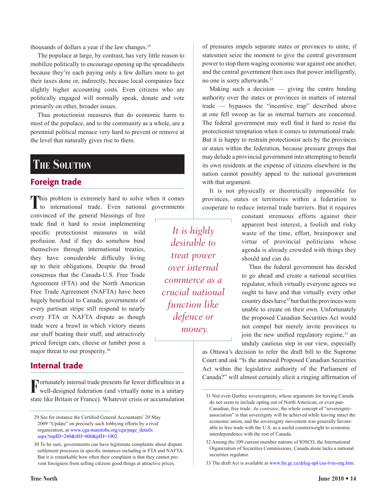thousands of dollars a year if the law changes.29

The populace at large, by contrast, has very little reason to mobilize politically to encourage opening up the spreadsheets because they're each paying only a few dollars more to get their taxes done or, indirectly, because local companies face slightly higher accounting costs. Even citizens who are politically engaged will normally speak, donate and vote primarily on other, broader issues.

Thus protectionist measures that do economic harm to most of the populace, and to the community as a whole, are a perennial political menace very hard to prevent or remove at the level that naturally gives rise to them.

### **The Solution**

#### Foreign trade

**T**his problem is extremely hard to solve when it comes to international trade. Even national governments

convinced of the general blessings of free trade find it hard to resist implementing specific protectionist measures in wild profusion. And if they do somehow bind themselves through international treaties, they have considerable difficulty living up to their obligations. Despite the broad consensus that the Canada-U.S. Free Trade Agreement (FTA) and the North American Free Trade Agreement (NAFTA) have been hugely beneficial to Canada, governments of every partisan stripe still respond to nearly every FTA or NAFTA dispute as though trade were a brawl in which victory means our stuff beating their stuff, and attractively priced foreign cars, cheese or lumber pose a major threat to our prosperity.30

#### Internal trade

**F**ortunately internal trade presents far fewer difficulties in a well-designed federation (and virtually none in a unitary state like Britain or France). Whatever crisis or accumulation

*It is highly desirable to treat power over internal commerce as a crucial national* 

*function like* 

*defence or* 

 *money.*

of pressures impels separate states or provinces to unite, if statesmen seize the moment to give the central government power to stop them waging economic war against one another, and the central government then uses that power intelligently, no one is sorry afterwards.31

Making such a decision  $-$  giving the centre binding authority over the states or provinces in matters of internal trade — bypasses the "incentive trap" described above at one fell swoop as far as internal barriers are concerned. The federal government may well find it hard to resist the protectionist temptation when it comes to international trade. But it is happy to restrain protectionist acts by the provinces or states within the federation, because pressure groups that may delude a provincial government into attempting to benefit its own residents at the expense of citizens elsewhere in the nation cannot possibly appeal to the national government with that argument.

It is not physically or theoretically impossible for provinces, states or territories within a federation to cooperate to reduce internal trade barriers. But it requires

> constant strenuous efforts against their apparent best interest, a foolish and risky waste of the time, effort, brainpower and virtue of provincial politicians whose agenda is already crowded with things they should and can do.

> Thus the federal government has decided to go ahead and create a national securities regulator, which virtually everyone agrees we ought to have and that virtually every other country does have<sup>32</sup> but that the provinces were unable to create on their own. Unfortunately the proposed Canadian Securities Act would not compel but merely invite provinces to join the new unified regulatory regime,  $33$  and unduly cautious step in our view, especially

as Ottawa's decision to refer the draft bill to the Supreme Court and ask "Is the annexed Proposed Canadian Securities Act within the legislative authority of the Parliament of Canada?" will almost certainly elicit a ringing affirmation of

<sup>29</sup> See for instance the Certified General Accountants' 20 May 2009 "Update" on precisely such lobbying efforts by a rival organization, at [www.cga-manitoba.org/cga/page\\_details.](http://www.cga-manitoba.org/cga/page_details.aspx?mpID=240&tID=800&pID=1002) [aspx?mpID=240&tID=800&pID=1002](http://www.cga-manitoba.org/cga/page_details.aspx?mpID=240&tID=800&pID=1002).

<sup>30</sup> To be sure, governments can have legitimate complaints about dispute settlement processes in specific instances including in FTA and NAFTA. But it is remarkable how often their complaint is that they cannot prevent foreigners from selling citizens good things at attractive prices.

<sup>31</sup> Not even Quebec sovereigntists, whose arguments for leaving Canada do not seem to include opting out of North American, or even pan-Canadian, free trade. *Au contraire*, the whole concept of "sovereigntyassociation" is that sovereignty will be achieved while leaving intact the economic union, and the sovereignty movement was generally favourable to free trade with the U.S. as a useful counterweight to economic interdependence with the rest of Canada.

<sup>32</sup> Among the 109 current member nations of IOSCO, the International Organization of Securities Commissions, Canada alone lacks a national securities regulator.

<sup>33</sup> The draft Act is available at [www.fin.gc.ca/drleg-apl/csa-lvm-eng.htm.](http://www.fin.gc.ca/drleg-apl/csa-lvm-eng.htm)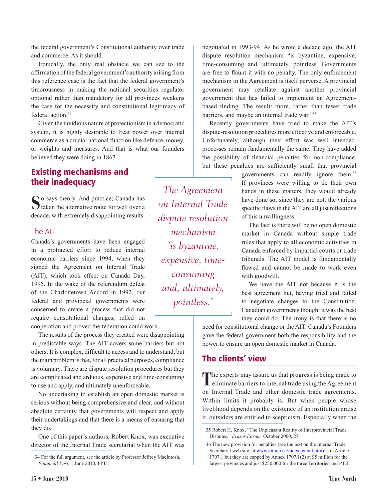the federal government's Constitutional authority over trade and commerce. As it should.

Ironically, the only real obstacle we can see to the affirmation of the federal government's authority arising from this reference case is the fact that the federal government's timorousness in making the national securities regulator optional rather than mandatory for all provinces weakens the case for the necessity and constitutional legitimacy of federal action.<sup>34</sup>

Given the invidious nature of protectionism in a democratic system, it is highly desirable to treat power over internal commerce as a crucial national function like defence, money, or weights and measures. And that is what our founders believed they were doing in 1867.

#### Existing mechanisms and their inadequacy

So says theory. And practice; Canada has taken the alternative route for well over a decade, with extremely disappointing results.

#### The AIT

Canada's governments have been engaged in a protracted effort to reduce internal economic barriers since 1994, when they signed the Agreement on Internal Trade (AIT), which took effect on Canada Day, 1995. In the wake of the referendum defeat of the Charlottetown Accord in 1992, our federal and provincial governments were concerned to create a process that did not require constitutional changes, relied on

cooperation and proved the federation could work.

The results of the process they created were disappointing in predictable ways. The AIT covers some barriers but not others. It is complex, difficult to access and to understand, but the main problem is that, for all practical purposes, compliance is voluntary. There are dispute resolution procedures but they are complicated and arduous, expensive and time-consuming to use and apply, and ultimately unenforceable.

No undertaking to establish an open domestic market is serious without being comprehensive and clear, and without absolute certainty that governments will respect and apply their undertakings and that there is a means of ensuring that they do.

One of this paper's authors, Robert Knox, was executive director of the Internal Trade secretariat when the AIT was

*The Agreement on Internal Trade dispute resolution mechanism "is byzantine, expensive, timeconsuming and, ultimately, pointless."*

negotiated in 1993-94. As he wrote a decade ago, the AIT dispute resolution mechanism "is byzantine, expensive, time-consuming and, ultimately, pointless. Governments are free to flaunt it with no penalty. The only enforcement mechanism in the Agreement is itself perverse. A provincial government may retaliate against another provincial government that has failed to implement an Agreementbased finding. The result: more, rather than fewer trade barriers, and maybe an internal trade war."35

Recently governments have tried to make the AIT's dispute-resolution procedures more effective and enforceable. Unfortunately, although their effort was well intended, processes remain fundamentally the same. They have added the possibility of financial penalties for non-compliance, but these penalties are sufficiently small that provincial

> governments can readily ignore them.36 If provinces were willing to tie their own hands in these matters, they would already have done so; since they are not, the various specific flaws in the AIT are all just reflections of this unwillingness.

> The fact is there will be no open domestic market in Canada without simple trade rules that apply to all economic activities in Canada enforced by impartial courts or trade tribunals. The AIT model is fundamentally flawed and cannot be made to work even with goodwill.

> We have the AIT not because it is the best agreement but, having tried and failed to negotiate changes to the Constitution, Canadian governments thought it was the best they could do. The irony is that there is no

need for constitutional change or the AIT. Canada's Founders gave the federal government both the responsibility and the power to ensure an open domestic market in Canada.

#### The clients' view

The experts may assure us that progress is being made to eliminate barriers to internal trade using the Agreement on Internal Trade and other domestic trade agreements. Within limits it probably is. But when people whose livelihood depends on the existence of an institution praise it, outsiders are entitled to scepticism. Especially when the

<sup>34</sup> For the full argument, see the article by Professor Jeffrey MacIntosh, *Financial Post,* 1 June 2010, FP11.

<sup>35</sup> Robert H. Knox, "The Unpleasant Reality of Interprovincial Trade Disputes," *Fraser Forum,* October 2000, 27.

<sup>36</sup> The new provision for penalties (see the text on the Internal Trade Secretariat web site, at w[ww.ait-aci.ca/index\\_en/ait.htm\)](http://www.ait-aci.ca/index_en/ait.htm) is in Article 1707.1 but they are capped by Annex 1707.1(2) at \$5 million for the largest provinces and just \$250,000 for the three Territories and P.E.I.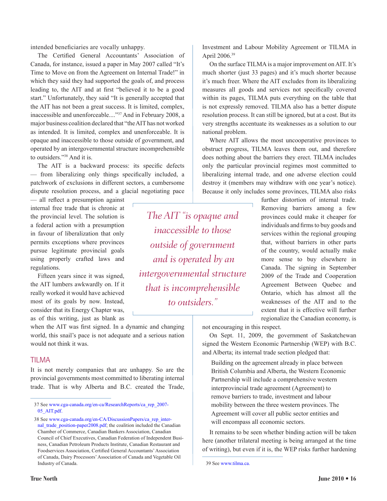intended beneficiaries are vocally unhappy.

The Certified General Accountants' Association of Canada, for instance, issued a paper in May 2007 called "It's Time to Move on from the Agreement on Internal Trade!" in which they said they had supported the goals of, and process leading to, the AIT and at first "believed it to be a good start." Unfortunately, they said "It is generally accepted that the AIT has not been a great success. It is limited, complex, inaccessible and unenforceable...."37 And in February 2008, a major business coalition declared that "the AIT has not worked as intended. It is limited, complex and unenforceable. It is opaque and inaccessible to those outside of government, and operated by an intergovernmental structure incomprehensible to outsiders."38 And it is.

The AIT is a backward process: its specific defects — from liberalizing only things specifically included, a patchwork of exclusions in different sectors, a cumbersome dispute resolution process, and a glacial negotiating pace

— all reflect a presumption against internal free trade that is chronic at the provincial level. The solution is a federal action with a presumption in favour of liberalization that only permits exceptions where provinces pursue legitimate provincial goals using properly crafted laws and regulations.

Fifteen years since it was signed, the AIT lumbers awkwardly on. If it really worked it would have achieved most of its goals by now. Instead, consider that its Energy Chapter was, as of this writing, just as blank as

when the AIT was first signed. In a dynamic and changing world, this snail's pace is not adequate and a serious nation would not think it was.

#### TILMA

It is not merely companies that are unhappy. So are the provincial governments most committed to liberating internal trade. That is why Alberta and B.C. created the Trade,

*The AIT "is opaque and inaccessible to those outside of government and is operated by an intergovernmental structure that is incomprehensible to outsiders."*

Investment and Labour Mobility Agreement or TILMA in April 2006.39

On the surface TILMA is a major improvement on AIT. It's much shorter (just 33 pages) and it's much shorter because it's much freer. Where the AIT excludes from its liberalizing measures all goods and services not specifically covered within its pages, TILMA puts everything on the table that is not expressly removed. TILMA also has a better dispute resolution process. It can still be ignored, but at a cost. But its very strengths accentuate its weaknesses as a solution to our national problem.

Where AIT allows the most uncooperative provinces to obstruct progress, TILMA leaves them out, and therefore does nothing about the barriers they erect. TILMA includes only the particular provincial regimes most committed to liberalizing internal trade, and one adverse election could destroy it (members may withdraw with one year's notice). Because it only includes some provinces, TILMA also risks

> further distortion of internal trade. Removing barriers among a few provinces could make it cheaper for individuals and firms to buy goods and services within the regional grouping that, without barriers in other parts of the country, would actually make more sense to buy elsewhere in Canada. The signing in September 2009 of the Trade and Cooperation Agreement Between Quebec and Ontario, which has almost all the weaknesses of the AIT and to the extent that it is effective will further regionalize the Canadian economy, is

not encouraging in this respect.

On Sept. 11, 2009, the government of Saskatchewan signed the Western Economic Partnership (WEP) with B.C. and Alberta; its internal trade section pledged that:

Building on the agreement already in place between British Columbia and Alberta, the Western Economic Partnership will include a comprehensive western interprovincial trade agreement (Agreement) to remove barriers to trade, investment and labour mobility between the three western provinces. The Agreement will cover all public sector entities and will encompass all economic sectors.

It remains to be seen whether binding action will be taken here (another trilateral meeting is being arranged at the time of writing), but even if it is, the WEP risks further hardening

<sup>37</sup> See [www.cga-canada.org/en-ca/ResearchReports/ca\\_rep\\_2007-](http://www.cga-canada.org/en-ca/ResearchReports/ca_rep_2007-05_AIT.pdf) [05\\_AIT.pdf](http://www.cga-canada.org/en-ca/ResearchReports/ca_rep_2007-05_AIT.pdf).

<sup>38</sup> See [www.cga-canada.org/en-CA/DiscussionPapers/ca\\_rep\\_inter](http://www.cga-canada.org/en-CA/DiscussionPapers/ca_rep_internal_trade_position-paper2008.pdf)[nal\\_trade\\_position-paper2008.pdf;](http://www.cga-canada.org/en-CA/DiscussionPapers/ca_rep_internal_trade_position-paper2008.pdf) the coalition included the Canadian Chamber of Commerce, Canadian Bankers Association, Canadian Council of Chief Executives, Canadian Federation of Independent Business, Canadian Petroleum Products Institute, Canadian Restaurant and Foodservices Association, Certified General Accountants' Association of Canada, Dairy Processors' Association of Canada and Vegetable Oil Industry of Canada.

<sup>39</sup> See [www.tilma.ca.](http://www.tilma.ca/)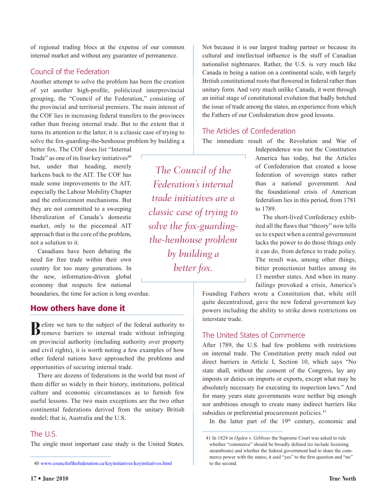of regional trading blocs at the expense of our common internal market and without any guarantee of permanence.

#### Council of the Federation

Another attempt to solve the problem has been the creation of yet another high-profile, politicized interprovincial grouping, the "Council of the Federation," consisting of the provincial and territorial premiers. The main interest of the COF lies in increasing federal transfers to the provinces rather than freeing internal trade. But to the extent that it turns its attention to the latter, it is a classic case of trying to solve the fox-guarding-the-henhouse problem by building a

better fox. The COF does list "Internal Trade" as one of its four key initiatives<sup>40</sup> but, under that heading, merely harkens back to the AIT. The COF has made some improvements to the AIT, especially the Labour Mobility Chapter and the enforcement mechanisms. But they are not committed to a sweeping liberalization of Canada's domestic market, only to the piecemeal AIT approach that is the core of the problem, not a solution to it.

Canadians have been debating the need for free trade within their own country for too many generations. In the new, information-driven global economy that respects few national

boundaries, the time for action is long overdue.

#### How others have done it

**B**efore we turn to the subject of the federal authority to remove barriers to internal trade without infringing on provincial authority (including authority over property and civil rights), it is worth noting a few examples of how other federal nations have approached the problems and opportunities of securing internal trade.

There are dozens of federations in the world but most of them differ so widely in their history, institutions, political culture and economic circumstances as to furnish few useful lessons. The two main exceptions are the two other continental federations derived from the unitary British model; that is, Australia and the U.S.

#### The U.S.

The single most important case study is the United States.

*The Council of the Federation's internal trade initiatives are a classic case of trying to solve the fox-guardingthe-henhouse problem by building a better fox.*

Not because it is our largest trading partner or because its cultural and intellectual influence is the stuff of Canadian nationalist nightmares. Rather, the U.S. is very much like Canada in being a nation on a continental scale, with largely British constitutional roots that flowered in federal rather than unitary form. And very much unlike Canada, it went through an initial stage of constitutional evolution that badly botched the issue of trade among the states, an experience from which the Fathers of our Confederation drew good lessons.

#### The Articles of Confederation

The immediate result of the Revolution and War of

Independence was not the Constitution America has today, but the Articles of Confederation that created a loose federation of sovereign states rather than a national government. And the foundational crisis of American federalism lies in this period, from 1781 to 1789.

The short-lived Confederacy exhibited all the flaws that "theory" now tells us to expect when a central government lacks the power to do those things only it can do, from defence to trade policy. The result was, among other things, bitter protectionist battles among its 13 member states. And when its many failings provoked a crisis, America's

Founding Fathers wrote a Constitution that, while still quite decentralized, gave the new federal government key powers including the ability to strike down restrictions on interstate trade.

#### The United States of Commerce

After 1789, the U.S. had few problems with restrictions on internal trade. The Constitution pretty much ruled out direct barriers in Article I, Section 10, which says "No state shall, without the consent of the Congress, lay any imposts or duties on imports or exports, except what may be absolutely necessary for executing its inspection laws." And for many years state governments were neither big enough nor ambitious enough to create many indirect barriers like subsidies or preferential procurement policies.<sup>41</sup>

In the latter part of the  $19<sup>th</sup>$  century, economic and

<sup>40</sup> [www.councilofthefederation.ca/keyinitiatives/keyinitiatives.html](http://www.councilofthefederation.ca/keyinitiatives/keyinitiatives.html)

<sup>41</sup> In 1824 in *Ogden v. Gibbons* the Supreme Court was asked to rule whether "commerce" should be broadly defined (to include licensing steamboats) and whether the federal government had to share the commerce power with the states; it said "yes" to the first question and "no" to the second.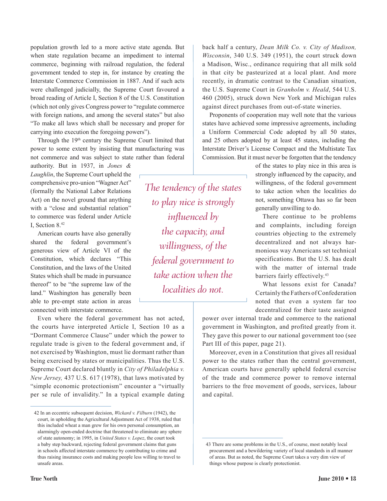population growth led to a more active state agenda. But when state regulation became an impediment to internal commerce, beginning with railroad regulation, the federal government tended to step in, for instance by creating the Interstate Commerce Commission in 1887. And if such acts were challenged judicially, the Supreme Court favoured a broad reading of Article I, Section 8 of the U.S. Constitution (which not only gives Congress power to "regulate commerce with foreign nations, and among the several states" but also "To make all laws which shall be necessary and proper for carrying into execution the foregoing powers").

Through the 19<sup>th</sup> century the Supreme Court limited that power to some extent by insisting that manufacturing was not commerce and was subject to state rather than federal

authority. But in 1937, in *Jones & Laughlin*, the Supreme Court upheld the comprehensive pro-union "Wagner Act" (formally the National Labor Relations Act) on the novel ground that anything with a "close and substantial relation" to commerce was federal under Article I, Section 8.42

American courts have also generally shared the federal government's generous view of Article VI of the Constitution, which declares "This Constitution, and the laws of the United States which shall be made in pursuance thereof" to be "the supreme law of the land." Washington has generally been able to pre-empt state action in areas connected with interstate commerce.

Even where the federal government has not acted, the courts have interpreted Article I, Section 10 as a "Dormant Commerce Clause" under which the power to regulate trade is given to the federal government and, if not exercised by Washington, must lie dormant rather than being exercised by states or municipalities. Thus the U.S. Supreme Court declared bluntly in *City of Philadelphia v. New Jersey,* 437 U.S. 617 (1978), that laws motivated by "simple economic protectionism" encounter a "virtually per se rule of invalidity." In a typical example dating

*The tendency of the states to play nice is strongly influenced by the capacity, and willingness, of the federal government to take action when the localities do not.*

back half a century, *Dean Milk Co. v. City of Madison, Wisconsin*, 340 U.S. 349 (1951), the court struck down a Madison, Wisc., ordinance requiring that all milk sold in that city be pasteurized at a local plant. And more recently, in dramatic contrast to the Canadian situation, the U.S. Supreme Court in *Granholm v. Heald*, 544 U.S. 460 (2005), struck down New York and Michigan rules against direct purchases from out-of-state wineries.

Proponents of cooperation may well note that the various states have achieved some impressive agreements, including a Uniform Commercial Code adopted by all 50 states, and 25 others adopted by at least 45 states, including the Interstate Driver's License Compact and the Multistate Tax Commission. But it must never be forgotten that the tendency

> of the states to play nice in this area is strongly influenced by the capacity, and willingness, of the federal government to take action when the localities do not, something Ottawa has so far been generally unwilling to do.

> There continue to be problems and complaints, including foreign countries objecting to the extremely decentralized and not always harmonious way Americans set technical specifications. But the U.S. has dealt with the matter of internal trade barriers fairly effectively.<sup>43</sup>

> What lessons exist for Canada? Certainly the Fathers of Confederation noted that even a system far too decentralized for their taste assigned

power over internal trade and commerce to the national government in Washington, and profited greatly from it. They gave this power to our national government too (see Part III of this paper, page 21).

Moreover, even in a Constitution that gives all residual power to the states rather than the central government, American courts have generally upheld federal exercise of the trade and commerce power to remove internal barriers to the free movement of goods, services, labour and capital.

<sup>42</sup> In an eccentric subsequent decision, *Wickard v. Filburn* (1942), the court, in upholding the Agricultural Adjustment Act of 1938, ruled that this included wheat a man grew for his own personal consumption, an alarmingly open-ended doctrine that threatened to eliminate any sphere of state autonomy; in 1995, in *United States v. Lopez*, the court took a baby step backward, rejecting federal government claims that guns in schools affected interstate commerce by contributing to crime and thus raising insurance costs and making people less willing to travel to unsafe areas.

<sup>43</sup> There are some problems in the U.S., of course, most notably local procurement and a bewildering variety of local standards in all manner of areas. But as noted, the Supreme Court takes a very dim view of things whose purpose is clearly protectionist.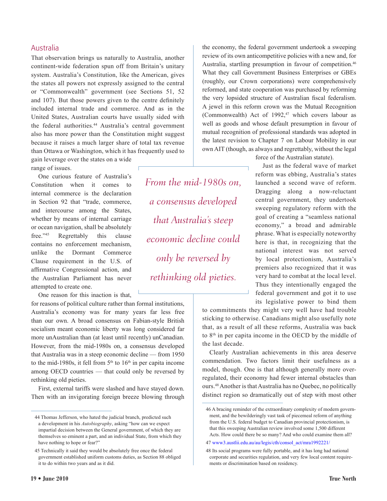#### Australia

That observation brings us naturally to Australia, another continent-wide federation spun off from Britain's unitary system. Australia's Constitution, like the American, gives the states all powers not expressly assigned to the central or "Commonwealth" government (see Sections 51, 52 and 107). But those powers given to the centre definitely included internal trade and commerce. And as in the United States, Australian courts have usually sided with the federal authorities.<sup>44</sup> Australia's central government also has more power than the Constitution might suggest because it raises a much larger share of total tax revenue than Ottawa or Washington, which it has frequently used to

gain leverage over the states on a wide range of issues.

One curious feature of Australia's Constitution when it comes to internal commerce is the declaration in Section 92 that "trade, commerce, and intercourse among the States, whether by means of internal carriage or ocean navigation, shall be absolutely free."45 Regrettably this clause contains no enforcement mechanism, unlike the Dormant Commerce Clause requirement in the U.S. of affirmative Congressional action, and the Australian Parliament has never attempted to create one.

One reason for this inaction is that,

for reasons of political culture rather than formal institutions, Australia's economy was for many years far less free than our own. A broad consensus on Fabian-style British socialism meant economic liberty was long considered far more unAustralian than (at least until recently) unCanadian. However, from the mid-1980s on, a consensus developed that Australia was in a steep economic decline — from 1950 to the mid-1980s, it fell from  $5<sup>th</sup>$  to  $16<sup>th</sup>$  in per capita income among OECD countries — that could only be reversed by rethinking old pieties.

First, external tariffs were slashed and have stayed down. Then with an invigorating foreign breeze blowing through

*From the mid-1980s on, a consensus developed that Australia's steep economic decline could only be reversed by rethinking old pieties.*

the economy, the federal government undertook a sweeping review of its own anticompetitive policies with a new and, for Australia, startling presumption in favour of competition.<sup>46</sup> What they call Government Business Enterprises or GBEs (roughly, our Crown corporations) were comprehensively reformed, and state cooperation was purchased by reforming the very lopsided structure of Australian fiscal federalism. A jewel in this reform crown was the Mutual Recognition (Commonwealth) Act of  $1992$ ,<sup>47</sup> which covers labour as well as goods and whose default presumption in favour of mutual recognition of professional standards was adopted in the latest revision to Chapter 7 on Labour Mobility in our own AIT (though, as always and regrettably, without the legal

force of the Australian statute).

Just as the federal wave of market reform was ebbing, Australia's states launched a second wave of reform. Dragging along a now-reluctant central government, they undertook sweeping regulatory reform with the goal of creating a "seamless national economy," a broad and admirable phrase. What is especially noteworthy here is that, in recognizing that the national interest was not served by local protectionism, Australia's premiers also recognized that it was very hard to combat at the local level. Thus they intentionally engaged the federal government and got it to use its legislative power to bind them

to commitments they might very well have had trouble sticking to otherwise. Canadians might also usefully note that, as a result of all these reforms, Australia was back to 8th in per capita income in the OECD by the middle of the last decade.

Clearly Australian achievements in this area deserve commendation. Two factors limit their usefulness as a model, though. One is that although generally more overregulated, their economy had fewer internal obstacles than ours.48 Another is that Australia has no Quebec, no politically distinct region so dramatically out of step with most other

<sup>44</sup> Thomas Jefferson, who hated the judicial branch, predicted such a development in his *Autobiography*, asking "how can we expect impartial decision between the General government, of which they are themselves so eminent a part, and an individual State, from which they have nothing to hope or fear?"

<sup>45</sup> Technically it said they would be absolutely free once the federal government established uniform customs duties, as Section 88 obliged it to do within two years and as it did.

<sup>46</sup> A bracing reminder of the extraordinary complexity of modern government, and the bewilderingly vast task of piecemeal reform of anything from the U.S. federal budget to Canadian provincial protectionism, is that this sweeping Australian review involved some 1,500 different Acts. How could there be so many? And who could examine them all?

<sup>47</sup> [www3.austlii.edu.au/au/legis/cth/consol\\_act/mra1992221/](http://www3.austlii.edu.au/au/legis/cth/consol_act/mra1992221/)

<sup>48</sup> Its social programs were fully portable, and it has long had national corporate and securities regulation, and very few local content requirements or discrimination based on residency.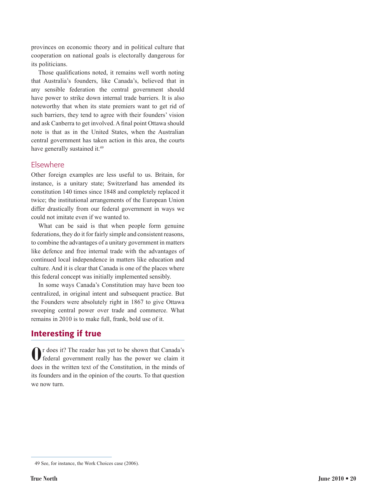provinces on economic theory and in political culture that cooperation on national goals is electorally dangerous for its politicians.

Those qualifications noted, it remains well worth noting that Australia's founders, like Canada's, believed that in any sensible federation the central government should have power to strike down internal trade barriers. It is also noteworthy that when its state premiers want to get rid of such barriers, they tend to agree with their founders' vision and ask Canberra to get involved. A final point Ottawa should note is that as in the United States, when the Australian central government has taken action in this area, the courts have generally sustained it.<sup>49</sup>

#### Elsewhere

Other foreign examples are less useful to us. Britain, for instance, is a unitary state; Switzerland has amended its constitution 140 times since 1848 and completely replaced it twice; the institutional arrangements of the European Union differ drastically from our federal government in ways we could not imitate even if we wanted to.

What can be said is that when people form genuine federations, they do it for fairly simple and consistent reasons, to combine the advantages of a unitary government in matters like defence and free internal trade with the advantages of continued local independence in matters like education and culture. And it is clear that Canada is one of the places where this federal concept was initially implemented sensibly.

In some ways Canada's Constitution may have been too centralized, in original intent and subsequent practice. But the Founders were absolutely right in 1867 to give Ottawa sweeping central power over trade and commerce. What remains in 2010 is to make full, frank, bold use of it.

#### Interesting if true

**O**r does it? The reader has yet to be shown that Canada's federal government really has the power we claim it does in the written text of the Constitution, in the minds of its founders and in the opinion of the courts. To that question we now turn.

<sup>49</sup> See, for instance, the Work Choices case (2006).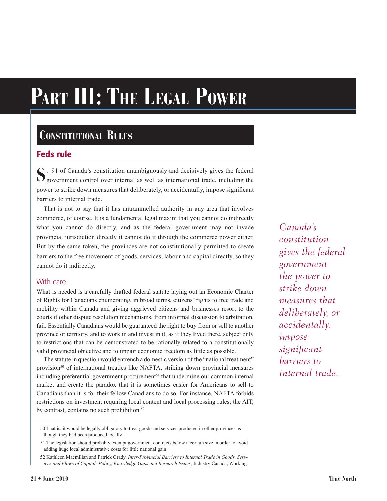# **Part III: The Legal Power**

# **Constitutional Rules**

#### Feds rule

**S**. 91 of Canada's constitution unambiguously and decisively gives the federal  $\bigcup$  government control over internal as well as international trade, including the power to strike down measures that deliberately, or accidentally, impose significant barriers to internal trade.

That is not to say that it has untrammelled authority in any area that involves commerce, of course. It is a fundamental legal maxim that you cannot do indirectly what you cannot do directly, and as the federal government may not invade provincial jurisdiction directly it cannot do it through the commerce power either. But by the same token, the provinces are not constitutionally permitted to create barriers to the free movement of goods, services, labour and capital directly, so they cannot do it indirectly.

#### With care

What is needed is a carefully drafted federal statute laying out an Economic Charter of Rights for Canadians enumerating, in broad terms, citizens' rights to free trade and mobility within Canada and giving aggrieved citizens and businesses resort to the courts if other dispute resolution mechanisms, from informal discussion to arbitration, fail. Essentially Canadians would be guaranteed the right to buy from or sell to another province or territory, and to work in and invest in it, as if they lived there, subject only to restrictions that can be demonstrated to be rationally related to a constitutionally valid provincial objective and to impair economic freedom as little as possible.

The statute in question would entrench a domestic version of the "national treatment" provision<sup>50</sup> of international treaties like NAFTA, striking down provincial measures including preferential government procurement<sup>51</sup> that undermine our common internal market and create the paradox that it is sometimes easier for Americans to sell to Canadians than it is for their fellow Canadians to do so. For instance, NAFTA forbids restrictions on investment requiring local content and local processing rules; the AIT, by contrast, contains no such prohibition.<sup>52</sup>

*Canada's constitution gives the federal government the power to strike down measures that deliberately, or accidentally, impose significant barriers to internal trade.*

<sup>50</sup> That is, it would be legally obligatory to treat goods and services produced in other provinces as though they had been produced locally.

<sup>51</sup> The legislation should probably exempt government contracts below a certain size in order to avoid adding huge local administrative costs for little national gain.

<sup>52</sup> Kathleen Macmillan and Patrick Grady, *Inter-Provincial Barriers to Internal Trade in Goods, Services and Flows of Capital: Policy, Knowledge Gaps and Research Issues*, Industry Canada, Working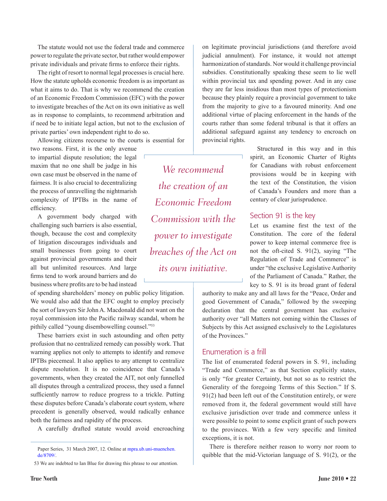The statute would not use the federal trade and commerce power to regulate the private sector, but rather would empower private individuals and private firms to enforce their rights.

The right of resort to normal legal processes is crucial here. How the statute upholds economic freedom is as important as what it aims to do. That is why we recommend the creation of an Economic Freedom Commission (EFC) with the power to investigate breaches of the Act on its own initiative as well as in response to complaints, to recommend arbitration and if need be to initiate legal action, but not to the exclusion of private parties' own independent right to do so.

Allowing citizens recourse to the courts is essential for

two reasons. First, it is the only avenue to impartial dispute resolution; the legal maxim that no one shall be judge in his own case must be observed in the name of fairness. It is also crucial to decentralizing the process of unravelling the nightmarish complexity of IPTBs in the name of efficiency.

A government body charged with challenging such barriers is also essential, though, because the cost and complexity of litigation discourages individuals and small businesses from going to court against provincial governments and their all but unlimited resources. And large firms tend to work around barriers and do business where profits are to be had instead

of spending shareholders' money on public policy litigation. We would also add that the EFC ought to employ precisely the sort of lawyers Sir John A. Macdonald did not want on the royal commission into the Pacific railway scandal, whom he pithily called "young disembowelling counsel."53

These barriers exist in such astounding and often petty profusion that no centralized remedy can possibly work. That warning applies not only to attempts to identify and remove IPTBs piecemeal. It also applies to any attempt to centralize dispute resolution. It is no coincidence that Canada's governments, when they created the AIT, not only funnelled all disputes through a centralized process, they used a funnel sufficiently narrow to reduce progress to a trickle. Putting these disputes before Canada's elaborate court system, where precedent is generally observed, would radically enhance both the fairness and rapidity of the process.

A carefully drafted statute would avoid encroaching

*We recommend the creation of an Economic Freedom Commission with the power to investigate breaches of the Act on its own initiative.*

on legitimate provincial jurisdictions (and therefore avoid judicial annulment). For instance, it would not attempt harmonization of standards. Nor would it challenge provincial subsidies. Constitutionally speaking these seem to lie well within provincial tax and spending power. And in any case they are far less insidious than most types of protectionism because they plainly require a provincial government to take from the majority to give to a favoured minority. And one additional virtue of placing enforcement in the hands of the courts rather than some federal tribunal is that it offers an additional safeguard against any tendency to encroach on provincial rights.

> Structured in this way and in this spirit, an Economic Charter of Rights for Canadians with robust enforcement provisions would be in keeping with the text of the Constitution, the vision of Canada's Founders and more than a century of clear jurisprudence.

#### Section 91 is the key

Let us examine first the text of the Constitution. The core of the federal power to keep internal commerce free is not the oft-cited S. 91(2), saying "The Regulation of Trade and Commerce" is under "the exclusive Legislative Authority of the Parliament of Canada." Rather, the key to S. 91 is its broad grant of federal

authority to make any and all laws for the "Peace, Order and good Government of Canada," followed by the sweeping declaration that the central government has exclusive authority over "all Matters not coming within the Classes of Subjects by this Act assigned exclusively to the Legislatures of the Provinces."

#### Enumeration is a frill

The list of enumerated federal powers in S. 91, including "Trade and Commerce," as that Section explicitly states, is only "for greater Certainty, but not so as to restrict the Generality of the foregoing Terms of this Section." If S. 91(2) had been left out of the Constitution entirely, or were removed from it, the federal government would still have exclusive jurisdiction over trade and commerce unless it were possible to point to some explicit grant of such powers to the provinces. With a few very specific and limited exceptions, it is not.

There is therefore neither reason to worry nor room to quibble that the mid-Victorian language of S. 91(2), or the

Paper Series, 31 March 2007, 12. Online at [mpra.ub.uni-muenchen.](http://mpra.ub.uni-muenchen.de/8709/) [de/8709/.](http://mpra.ub.uni-muenchen.de/8709/)

<sup>53</sup> We are indebted to Ian Blue for drawing this phrase to our attention.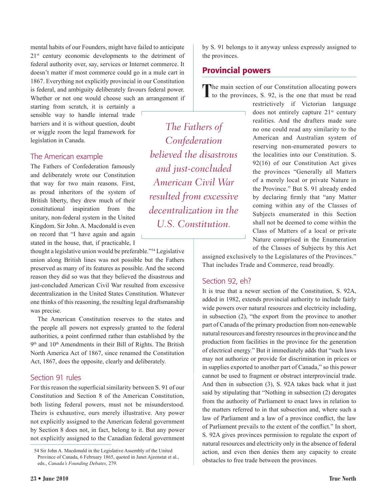mental habits of our Founders, might have failed to anticipate 21<sup>st</sup> century economic developments to the detriment of federal authority over, say, services or Internet commerce. It doesn't matter if most commerce could go in a mule cart in 1867. Everything not explicitly provincial in our Constitution is federal, and ambiguity deliberately favours federal power. Whether or not one would choose such an arrangement if

starting from scratch, it is certainly a sensible way to handle internal trade barriers and it is without question, doubt or wiggle room the legal framework for legislation in Canada.

#### The American example

The Fathers of Confederation famously and deliberately wrote our Constitution that way for two main reasons. First, as proud inheritors of the system of British liberty, they drew much of their constitutional inspiration from the unitary, non-federal system in the United Kingdom. Sir John. A. Macdonald is even on record that "I have again and again stated in the house, that, if practicable, I

thought a legislative union would be preferable."54 Legislative union along British lines was not possible but the Fathers preserved as many of its features as possible. And the second reason they did so was that they believed the disastrous and just-concluded American Civil War resulted from excessive decentralization in the United States Constitution. Whatever one thinks of this reasoning, the resulting legal draftsmanship was precise.

The American Constitution reserves to the states and the people all powers not expressly granted to the federal authorities, a point confirmed rather than established by the  $9<sup>th</sup>$  and  $10<sup>th</sup>$  Amendments in their Bill of Rights. The British North America Act of 1867, since renamed the Constitution Act, 1867, does the opposite, clearly and deliberately.

#### Section 91 rules

For this reason the superficial similarity between S. 91 of our Constitution and Section 8 of the American Constitution, both listing federal powers, must not be misunderstood. Theirs is exhaustive, ours merely illustrative. Any power not explicitly assigned to the American federal government by Section 8 does not, in fact, belong to it. But any power not explicitly assigned to the Canadian federal government

*The Fathers of Confederation believed the disastrous and just-concluded American Civil War resulted from excessive decentralization in the U.S. Constitution.*

by S. 91 belongs to it anyway unless expressly assigned to the provinces.

#### Provincial powers

The main section of our Constitution allocating powers<br>to the provinces, S. 92, is the one that must be read

restrictively if Victorian language does not entirely capture  $21<sup>st</sup>$  century realities. And the drafters made sure no one could read any similarity to the American and Australian system of reserving non-enumerated powers to the localities into our Constitution. S. 92(16) of our Constitution Act gives the provinces "Generally all Matters of a merely local or private Nature in the Province." But S. 91 already ended by declaring firmly that "any Matter coming within any of the Classes of Subjects enumerated in this Section shall not be deemed to come within the Class of Matters of a local or private Nature comprised in the Enumeration of the Classes of Subjects by this Act

assigned exclusively to the Legislatures of the Provinces." That includes Trade and Commerce, read broadly.

#### Section 92, eh?

It is true that a newer section of the Constitution, S. 92A, added in 1982, extends provincial authority to include fairly wide powers over natural resources and electricity including, in subsection (2), "the export from the province to another part of Canada of the primary production from non-renewable natural resources and forestry resources in the province and the production from facilities in the province for the generation of electrical energy." But it immediately adds that "such laws may not authorize or provide for discrimination in prices or in supplies exported to another part of Canada," so this power cannot be used to fragment or obstruct interprovincial trade. And then in subsection (3), S. 92A takes back what it just said by stipulating that "Nothing in subsection (2) derogates from the authority of Parliament to enact laws in relation to the matters referred to in that subsection and, where such a law of Parliament and a law of a province conflict, the law of Parliament prevails to the extent of the conflict." In short, S. 92A gives provinces permission to regulate the export of natural resources and electricity only in the absence of federal action, and even then denies them any capacity to create obstacles to free trade between the provinces.

<sup>54</sup> Sir John A. Macdonald in the Legislative Assembly of the United Province of Canada, 6 February 1865, quoted in Janet Ajzenstat et al., eds., *Canada's Founding Debates*, 279.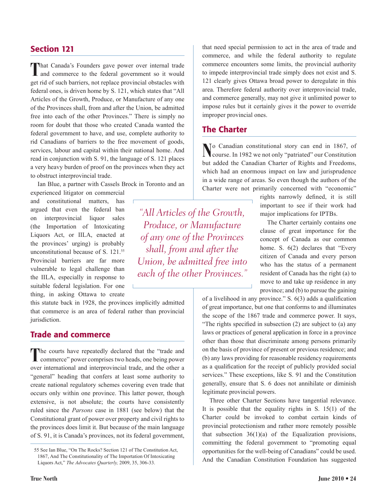#### Section 121

**T**hat Canada's Founders gave power over internal trade and commerce to the federal government so it would get rid of such barriers, not replace provincial obstacles with federal ones, is driven home by S. 121, which states that "All Articles of the Growth, Produce, or Manufacture of any one of the Provinces shall, from and after the Union, be admitted free into each of the other Provinces." There is simply no room for doubt that those who created Canada wanted the federal government to have, and use, complete authority to rid Canadians of barriers to the free movement of goods, services, labour and capital within their national home. And read in conjunction with S. 91, the language of S. 121 places a very heavy burden of proof on the provinces when they act to obstruct interprovincial trade.

Ian Blue, a partner with Cassels Brock in Toronto and an

experienced litigator on commercial and constitutional matters, has argued that even the federal ban on interprovincial liquor sales (the Importation of Intoxicating Liquors Act, or IILA, enacted at the provinces' urging) is probably unconstitutional because of S. 121.<sup>55</sup> Provincial barriers are far more vulnerable to legal challenge than the IILA, especially in response to suitable federal legislation. For one thing, in asking Ottawa to create

this statute back in 1928, the provinces implicitly admitted that commerce is an area of federal rather than provincial jurisdiction.

#### Trade and commerce

The courts have repeatedly declared that the "trade and commerce" power comprises two heads, one being power over international and interprovincial trade, and the other a "general" heading that confers at least some authority to create national regulatory schemes covering even trade that occurs only within one province. This latter power, though extensive, is not absolute; the courts have consistently ruled since the *Parsons* case in 1881 (see below) that the Constitutional grant of power over property and civil rights to the provinces does limit it. But because of the main language of S. 91, it is Canada's provinces, not its federal government, that need special permission to act in the area of trade and commerce, and while the federal authority to regulate commerce encounters some limits, the provincial authority to impede interprovincial trade simply does not exist and S. 121 clearly gives Ottawa broad power to deregulate in this area. Therefore federal authority over interprovincial trade, and commerce generally, may not give it unlimited power to impose rules but it certainly gives it the power to override improper provincial ones.

#### The Charter

**N**o Canadian constitutional story can end in 1867, of course. In 1982 we not only "patriated" our Constitution but added the Canadian Charter of Rights and Freedoms, which had an enormous impact on law and jurisprudence in a wide range of areas. So even though the authors of the Charter were not primarily concerned with "economic"

> rights narrowly defined, it is still important to see if their work had major implications for IPTBs.

The Charter certainly contains one clause of great importance for the concept of Canada as our common home. S.  $6(2)$  declares that "Every" citizen of Canada and every person who has the status of a permanent resident of Canada has the right (a) to move to and take up residence in any province; and (b) to pursue the gaining

of a livelihood in any province." S. 6(3) adds a qualification of great importance, but one that conforms to and illuminates the scope of the 1867 trade and commerce power. It says, "The rights specified in subsection (2) are subject to (a) any laws or practices of general application in force in a province other than those that discriminate among persons primarily on the basis of province of present or previous residence; and (b) any laws providing for reasonable residency requirements as a qualification for the receipt of publicly provided social services." These exceptions, like S. 91 and the Constitution generally, ensure that S. 6 does not annihilate or diminish legitimate provincial powers.

Three other Charter Sections have tangential relevance. It is possible that the equality rights in S. 15(1) of the Charter could be invoked to combat certain kinds of provincial protectionism and rather more remotely possible that subsection  $36(1)(a)$  of the Equalization provisions, committing the federal government to "promoting equal opportunities for the well-being of Canadians" could be used. And the Canadian Constitution Foundation has suggested

*"All Articles of the Growth, Produce, or Manufacture of any one of the Provinces shall, from and after the Union, be admitted free into each of the other Provinces."*

<sup>55</sup> See Ian Blue, "On The Rocks? Section 121 of The Constitution Act, 1867, And The Constitutionality of The Importation Of Intoxicating Liquors Act," *The Advocates Quarterly,* 2009, 35, 306-33.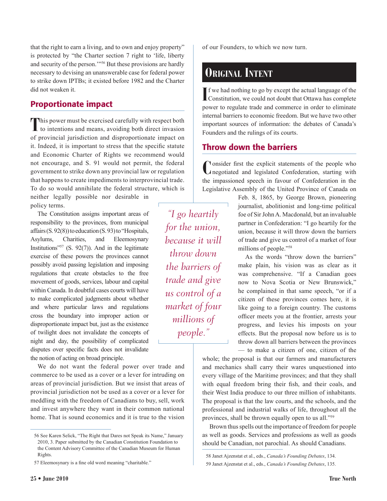that the right to earn a living, and to own and enjoy property" is protected by "the Charter section 7 right to 'life, liberty and security of the person.'"56 But these provisions are hardly necessary to devising an unanswerable case for federal power to strike down IPTBs; it existed before 1982 and the Charter did not weaken it.

#### Proportionate impact

This power must be exercised carefully with respect both to intentions and means, avoiding both direct invasion of provincial jurisdiction and disproportionate impact on it. Indeed, it is important to stress that the specific statute and Economic Charter of Rights we recommend would not encourage, and S. 91 would not permit, the federal government to strike down any provincial law or regulation that happens to create impediments to interprovincial trade. To do so would annihilate the federal structure, which is

neither legally possible nor desirable in policy terms.

The Constitution assigns important areas of responsibility to the provinces, from municipal affairs (S. 92(8)) to education (S. 93) to "Hospitals, Asylums, Charities, and Eleemosynary Institutions" $57$  (S. 92(7)). And in the legitimate exercise of these powers the provinces cannot possibly avoid passing legislation and imposing regulations that create obstacles to the free movement of goods, services, labour and capital within Canada. In doubtful cases courts will have to make complicated judgments about whether and where particular laws and regulations cross the boundary into improper action or disproportionate impact but, just as the existence of twilight does not invalidate the concepts of night and day, the possibility of complicated disputes over specific facts does not invalidate the notion of acting on broad principle.

We do not want the federal power over trade and commerce to be used as a cover or a lever for intruding on areas of provincial jurisdiction. But we insist that areas of provincial jurisdiction not be used as a cover or a lever for meddling with the freedom of Canadians to buy, sell, work and invest anywhere they want in their common national home. That is sound economics and it is true to the vision

*"I go heartily for the union, because it will throw down the barriers of trade and give us control of a market of four millions of people."*

of our Founders, to which we now turn.

# **Original Intent**

If we had nothing to go by except the actual language of the Constitution, we could not doubt that Ottawa has complete Constitution, we could not doubt that Ottawa has complete power to regulate trade and commerce in order to eliminate internal barriers to economic freedom. But we have two other important sources of information: the debates of Canada's Founders and the rulings of its courts.

#### Throw down the barriers

**C**onsider first the explicit statements of the people who negotiated and legislated Confederation, starting with the impassioned speech in favour of Confederation in the Legislative Assembly of the United Province of Canada on

> Feb. 8, 1865, by George Brown, pioneering journalist, abolitionist and long-time political foe of Sir John A. Macdonald, but an invaluable partner in Confederation: "I go heartily for the union, because it will throw down the barriers of trade and give us control of a market of four millions of people."58

> As the words "throw down the barriers" make plain, his vision was as clear as it was comprehensive. "If a Canadian goes now to Nova Scotia or New Brunswick," he complained in that same speech, "or if a citizen of these provinces comes here, it is like going to a foreign country. The customs officer meets you at the frontier, arrests your progress, and levies his imposts on your effects. But the proposal now before us is to throw down all barriers between the provinces — to make a citizen of one, citizen of the

whole; the proposal is that our farmers and manufacturers and mechanics shall carry their wares unquestioned into every village of the Maritime provinces; and that they shall with equal freedom bring their fish, and their coals, and their West India produce to our three million of inhabitants. The proposal is that the law courts, and the schools, and the professional and industrial walks of life, throughout all the provinces, shall be thrown equally open to us all."59

Brown thus spells out the importance of freedom for people as well as goods. Services and professions as well as goods should be Canadian, not parochial. As should Canadians.

<sup>56</sup> See Karen Selick, "The Right that Dares not Speak its Name," January 2010, 3. Paper submitted by the Canadian Constitution Foundation to the Content Advisory Committee of the Canadian Museum for Human Rights.

<sup>57</sup> Eleemosynary is a fine old word meaning "charitable."

<sup>58</sup> Janet Ajzenstat et al., eds., *Canada's Founding Debates*, 134. 59 Janet Ajzenstat et al., eds., *Canada's Founding Debates*, 135.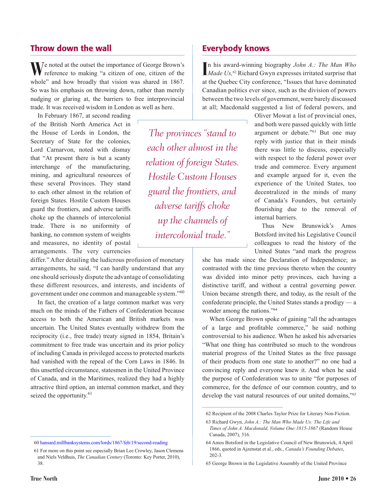#### Throw down the wall

**W**e noted at the outset the importance of George Brown's reference to making "a citizen of one, citizen of the whole" and how broadly that vision was shared in 1867. So was his emphasis on throwing down, rather than merely nudging or glaring at, the barriers to free interprovincial trade. It was received wisdom in London as well as here.

In February 1867, at second reading of the British North America Act in the House of Lords in London, the Secretary of State for the colonies, Lord Carnarvon, noted with dismay that "At present there is but a scanty interchange of the manufacturing, mining, and agricultural resources of these several Provinces. They stand to each other almost in the relation of foreign States. Hostile Custom Houses guard the frontiers, and adverse tariffs choke up the channels of intercolonial trade. There is no uniformity of banking, no common system of weights and measures, no identity of postal arrangements. The very currencies

differ." After detailing the ludicrous profusion of monetary arrangements, he said, "I can hardly understand that any one should seriously dispute the advantage of consolidating these different resources, and interests, and incidents of government under one common and manageable system."<sup>60</sup>

In fact, the creation of a large common market was very much on the minds of the Fathers of Confederation because access to both the American and British markets was uncertain. The United States eventually withdrew from the reciprocity (i.e., free trade) treaty signed in 1854, Britain's commitment to free trade was uncertain and its prior policy of including Canada in privileged access to protected markets had vanished with the repeal of the Corn Laws in 1846. In this unsettled circumstance, statesmen in the United Province of Canada, and in the Maritimes, realized they had a highly attractive third option, an internal common market, and they seized the opportunity.<sup>61</sup>

In his award-winning biography *John A.: The Man Who Made Us*,<sup>62</sup> Richard Gwyn expresses irritated surprise that *Made Us,*62 Richard Gwyn expresses irritated surprise that at the Quebec City conference, "Issues that have dominated Canadian politics ever since, such as the division of powers between the two levels of government, were barely discussed at all; Macdonald suggested a list of federal powers, and

*The provinces "stand to each other almost in the relation of foreign States. Hostile Custom Houses guard the frontiers, and adverse tariffs choke up the channels of intercolonial trade."*

Oliver Mowat a list of provincial ones, and both were passed quickly with little argument or debate."63 But one may reply with justice that in their minds there was little to discuss, especially with respect to the federal power over trade and commerce. Every argument and example argued for it, even the experience of the United States, too decentralized in the minds of many of Canada's Founders, but certainly flourishing due to the removal of internal barriers.

Thus New Brunswick's Amos Botsford invited his Legislative Council colleagues to read the history of the United States "and mark the progress

she has made since the Declaration of Independence; as contrasted with the time previous thereto when the country was divided into minor petty provinces, each having a distinctive tariff, and without a central governing power. Union became strength there, and today, as the result of the confederate principle, the United States stands a prodigy — a wonder among the nations."<sup>64</sup>

When George Brown spoke of gaining "all the advantages of a large and profitable commerce," he said nothing controversial to his audience. When he asked his adversaries "What one thing has contributed so much to the wondrous material progress of the United States as the free passage of their products from one state to another?" no one had a convincing reply and everyone knew it. And when he said the purpose of Confederation was to unite "for purposes of commerce, for the defence of our common country, and to develop the vast natural resources of our united domains,"<sup>65</sup>

<sup>60</sup> [hansard.millbanksystems.com/lords/1867/feb/19/second-reading](http://hansard.millbanksystems.com/lords/1867/feb/19/second-reading)

<sup>61</sup> For more on this point see especially Brian Lee Crowley, Jason Clemens and Niels Veldhuis, *The Canadian Century* (Toronto: Key Porter, 2010), 38.

<sup>62</sup> Recipient of the 2008 Charles Taylor Prize for Literary Non-Fiction.

<sup>63</sup> Richard Gwyn, *John A.: The Man Who Made Us: The Life and Times of John A. Macdonald, Volume One:1815-1867* (Random House Canada, 2007), 316.

<sup>64</sup> Amos Botsford in the Legislative Council of New Brunswick, 4 April 1866, quoted in Ajzenstat et al., eds., *Canada's Founding Debates*, 202-3.

<sup>65</sup> George Brown in the Legislative Assembly of the United Province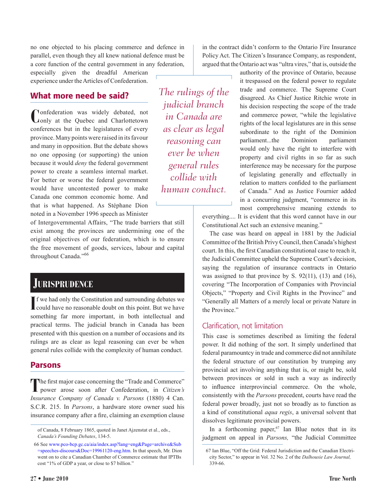no one objected to his placing commerce and defence in parallel, even though they all knew national defence must be a core function of the central government in any federation, especially given the dreadful American

experience under the Articles of Confederation.

#### What more need be said?

**C**onfederation was widely debated, not only at the Quebec and Charlottetown conferences but in the legislatures of every province. Many points were raised in its favour and many in opposition. But the debate shows no one opposing (or supporting) the union because it would *deny* the federal government power to create a seamless internal market. For better or worse the federal government would have uncontested power to make Canada one common economic home. And that is what happened. As Stéphane Dion noted in a November 1996 speech as Minister

of Intergovernmental Affairs, "The trade barriers that still exist among the provinces are undermining one of the original objectives of our federation, which is to ensure the free movement of goods, services, labour and capital throughout Canada."<sup>66</sup>

#### **Jurisprudence**

If we had only the Constitution and surrounding debates we could have no reasonable doubt on this point. But we have could have no reasonable doubt on this point. But we have something far more important, in both intellectual and practical terms. The judicial branch in Canada has been presented with this question on a number of occasions and its rulings are as clear as legal reasoning can ever be when general rules collide with the complexity of human conduct.

#### Parsons

The first major case concerning the "Trade and Commerce" power arose soon after Confederation, in *Citizen's Insurance Company of Canada v. Parsons* (1880) 4 Can. S.C.R. 215. In *Parsons*, a hardware store owner sued his insurance company after a fire, claiming an exemption clause

66 See [www.pco-bcp.gc.ca/aia/index.asp?lang=eng&Page=archive&Sub](http://www.pco-bcp.gc.ca/aia/index.asp?lang=eng&Page=archive&Sub=speeches-discours&Doc=19961120-eng.htm) [=speeches-discours&Doc=19961120-eng.htm](http://www.pco-bcp.gc.ca/aia/index.asp?lang=eng&Page=archive&Sub=speeches-discours&Doc=19961120-eng.htm). In that speech, Mr. Dion went on to cite a Canadian Chamber of Commerce estimate that IPTBs cost "1% of GDP a year, or close to \$7 billion."

*The rulings of the judicial branch in Canada are as clear as legal reasoning can ever be when general rules collide with human conduct.*

in the contract didn't conform to the Ontario Fire Insurance Policy Act. The Citizen's Insurance Company, as respondent, argued that the Ontario act was "ultra vires," that is, outside the

> authority of the province of Ontario, because it trespassed on the federal power to regulate trade and commerce. The Supreme Court disagreed. As Chief Justice Ritchie wrote in his decision respecting the scope of the trade and commerce power, "while the legislative rights of the local legislatures are in this sense subordinate to the right of the Dominion parliament...the Dominion parliament would only have the right to interfere with property and civil rights in so far as such interference may be necessary for the purpose of legislating generally and effectually in relation to matters confided to the parliament of Canada." And as Justice Fournier added in a concurring judgment, "commerce in its most comprehensive meaning extends to

everything.... It is evident that this word cannot have in our Constitutional Act such an extensive meaning."

The case was heard on appeal in 1881 by the Judicial Committee of the British Privy Council, then Canada's highest court. In this, the first Canadian constitutional case to reach it, the Judicial Committee upheld the Supreme Court's decision, saying the regulation of insurance contracts in Ontario was assigned to that province by S. 92(11), (13) and (16), covering "The Incorporation of Companies with Provincial Objects," "Property and Civil Rights in the Province" and "Generally all Matters of a merely local or private Nature in the Province."

#### Clarification, not limitation

This case is sometimes described as limiting the federal power. It did nothing of the sort. It simply underlined that federal paramountcy in trade and commerce did not annihilate the federal structure of our constitution by trumping any provincial act involving anything that is, or might be, sold between provinces or sold in such a way as indirectly to influence interprovincial commerce. On the whole, consistently with the *Parsons* precedent, courts have read the federal power broadly, just not so broadly as to function as a kind of constitutional *aqua regis*, a universal solvent that dissolves legitimate provincial powers.

In a forthcoming paper, $67$  Ian Blue notes that in its judgment on appeal in *Parsons,* "the Judicial Committee

of Canada, 8 February 1865, quoted in Janet Ajzenstat et al., eds., *Canada's Founding Debates*, 134-5.

<sup>67</sup> Ian Blue, "Off the Grid: Federal Jurisdiction and the Canadian Electricity Sector," to appear in Vol. 32 No. 2 of the *Dalhousie Law Journal,*  339-66.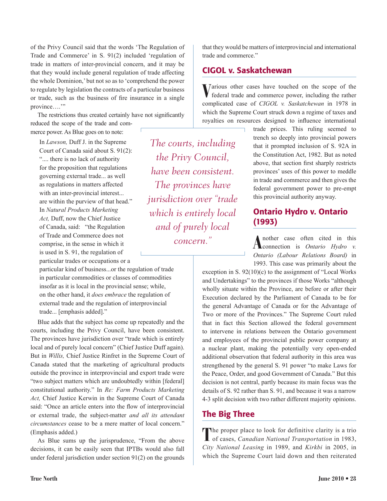of the Privy Council said that the words 'The Regulation of Trade and Commerce' in S. 91(2) included 'regulation of trade in matters of inter-provincial concern, and it may be that they would include general regulation of trade affecting the whole Dominion,' but not so as to 'comprehend the power to regulate by legislation the contracts of a particular business or trade, such as the business of fire insurance in a single province...."

The restrictions thus created certainly have not significantly reduced the scope of the trade and commerce power. As Blue goes on to note:

In *Lawson,* Duff J. in the Supreme Court of Canada said about S. 91(2): ".... there is no lack of authority" for the proposition that regulations governing external trade... as well as regulations in matters affected with an inter-provincial interest... are within the purview of that head." In *Natural Products Marketing Act,* Duff, now the Chief Justice of Canada, said: "the Regulation of Trade and Commerce does not comprise, in the sense in which it is used in S. 91, the regulation of particular trades or occupations or a

particular kind of business...or the regulation of trade in particular commodities or classes of commodities insofar as it is local in the provincial sense; while, on the other hand, it *does embrace* the regulation of external trade and the regulation of interprovincial trade... [emphasis added]."

Blue adds that the subject has come up repeatedly and the courts, including the Privy Council, have been consistent. The provinces have jurisdiction over "trade which is entirely local and of purely local concern" (Chief Justice Duff again). But in *Willis,* Chief Justice Rinfret in the Supreme Court of Canada stated that the marketing of agricultural products outside the province in interprovincial and export trade were "two subject matters which are undoubtedly within [federal] constitutional authority." In *Re: Farm Products Marketing Act,* Chief Justice Kerwin in the Supreme Court of Canada said: "Once an article enters into the flow of interprovincial or external trade, the subject-matter *and all its attendant circumstances* cease to be a mere matter of local concern." (Emphasis added.)

As Blue sums up the jurisprudence, "From the above decisions, it can be easily seen that IPTBs would also fall under federal jurisdiction under section 91(2) on the grounds

*The courts, including the Privy Council, have been consistent. The provinces have jurisdiction over "trade which is entirely local and of purely local concern."*

that they would be matters of interprovincial and international trade and commerce."

#### CIGOL v. Saskatchewan

Various other cases have touched on the scope of the federal trade and commerce power, including the rather complicated case of *CIGOL v. Saskatchewan* in 1978 in which the Supreme Court struck down a regime of taxes and royalties on resources designed to influence international

> trade prices. This ruling seemed to trench so deeply into provincial powers that it prompted inclusion of S. 92A in the Constitution Act, 1982. But as noted above, that section first sharply restricts provinces' uses of this power to meddle in trade and commerce and then gives the federal government power to pre-empt this provincial authority anyway.

#### Ontario Hydro v. Ontario (1993)

A nother case often cited in this **Connection** is *Ontario Hydro v*. *Ontario (Labour Relations Board)* in 1993. This case was primarily about the

exception in S. 92(10)(c) to the assignment of "Local Works and Undertakings" to the provinces if those Works "although wholly situate within the Province, are before or after their Execution declared by the Parliament of Canada to be for the general Advantage of Canada or for the Advantage of Two or more of the Provinces." The Supreme Court ruled that in fact this Section allowed the federal government to intervene in relations between the Ontario government and employees of the provincial public power company at a nuclear plant, making the potentially very open-ended additional observation that federal authority in this area was strengthened by the general S. 91 power "to make Laws for the Peace, Order, and good Government of Canada." But this decision is not central, partly because its main focus was the details of S. 92 rather than S. 91, and because it was a narrow 4-3 split decision with two rather different majority opinions.

#### The Big Three

The proper place to look for definitive clarity is a trio of cases, *Canadian National Transportation* in 1983, *City National Leasing* in 1989, and *Kirkbi* in 2005, in which the Supreme Court laid down and then reiterated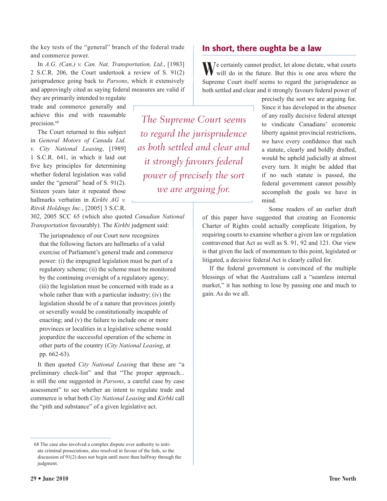the key tests of the "general" branch of the federal trade and commerce power.

In *A.G. (Can.) v. Can. Nat. Transportation, Ltd.*, [1983] 2 S.C.R. 206, the Court undertook a review of S. 91(2) jurisprudence going back to *Parsons*, which it extensively and approvingly cited as saying federal measures are valid if

they are primarily intended to regulate trade and commerce generally and achieve this end with reasonable precision.<sup>68</sup>

The Court returned to this subject in *General Motors of Canada Ltd. v. City National Leasing*, [1989] 1 S.C.R. 641, in which it laid out five key principles for determining whether federal legislation was valid under the "general" head of S. 91(2). Sixteen years later it repeated those hallmarks verbatim in *Kirkbi AG v. Ritvik Holdings Inc.*, [2005] 3 S.C.R.

302, 2005 SCC 65 (which also quoted *Canadian National Transportation* favourably). The *Kirkbi* judgment said:

The jurisprudence of our Court now recognizes that the following factors are hallmarks of a valid exercise of Parliament's general trade and commerce power: (i) the impugned legislation must be part of a regulatory scheme; (ii) the scheme must be monitored by the continuing oversight of a regulatory agency; (iii) the legislation must be concerned with trade as a whole rather than with a particular industry; (iv) the legislation should be of a nature that provinces jointly or severally would be constitutionally incapable of enacting; and (v) the failure to include one or more provinces or localities in a legislative scheme would jeopardize the successful operation of the scheme in other parts of the country (*City National Leasing*, at pp. 662-63).

It then quoted *City National Leasing* that these are "a preliminary check-list" and that "The proper approach... is still the one suggested in *Parsons*, a careful case by case assessment" to see whether an intent to regulate trade and commerce is what both *City National Leasing* and *Kirbki* call the "pith and substance" of a given legislative act.

*The Supreme Court seems to regard the jurisprudence as both settled and clear and it strongly favours federal power of precisely the sort we are arguing for.*

#### In short, there oughta be a law

We certainly cannot predict, let alone dictate, what courts will do in the future. But this is one area where the Supreme Court itself seems to regard the jurisprudence as both settled and clear and it strongly favours federal power of

> precisely the sort we are arguing for. Since it has developed in the absence of any really decisive federal attempt to vindicate Canadians' economic liberty against provincial restrictions, we have every confidence that such a statute, clearly and boldly drafted, would be upheld judicially at almost every turn. It might be added that if no such statute is passed, the federal government cannot possibly accomplish the goals we have in mind.

Some readers of an earlier draft

of this paper have suggested that creating an Economic Charter of Rights could actually complicate litigation, by requiring courts to examine whether a given law or regulation contravened that Act as well as S. 91, 92 and 121. Our view is that given the lack of momentum to this point, legislated or litigated, a decisive federal Act is clearly called for.

If the federal government is convinced of the multiple blessings of what the Australians call a "seamless internal market," it has nothing to lose by passing one and much to gain. As do we all.

<sup>68</sup> The case also involved a complex dispute over authority to initiate criminal prosecutions, also resolved in favour of the feds, so the discussion of 91(2) does not begin until more than halfway through the judgment.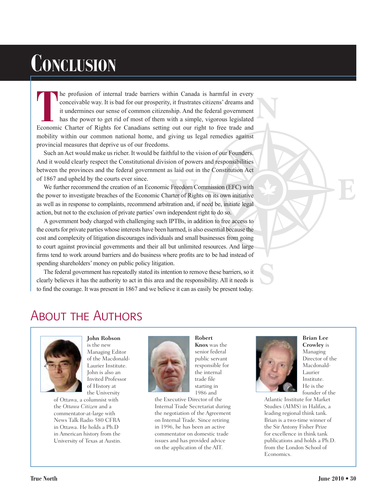# **Conclusion**

**N THE CONOCERT CONOCERT CONCRETED THE CONOCERT CONTROLLED THE CONCRETED STATES CONTROLLED THE UNION OF CONTROLLED THE CONCRETED AND A STATE TO FRIGHT AND A SIMPLE, VI SOVER THE CONOCERT OF RIGHTS for Canadians setting out o** he profusion of internal trade barriers within Canada is harmful in every conceivable way. It is bad for our prosperity, it frustrates citizens' dreams and it undermines our sense of common citizenship. And the federal government has the power to get rid of most of them with a simple, vigorous legislated mobility within our common national home, and giving us legal remedies against provincial measures that deprive us of our freedoms.

Such an Act would make us richer. It would be faithful to the vision of our Founders. And it would clearly respect the Constitutional division of powers and responsibilities between the provinces and the federal government as laid out in the Constitution Act of 1867 and upheld by the courts ever since.

Freedom C<br>arter of Right<br>ration and i A We further recommend the creation of an Economic Freedom Commission (EFC) with the power to investigate breaches of the Economic Charter of Rights on its own initiative as well as in response to complaints, recommend arbitration and, if need be, initiate legal action, but not to the exclusion of private parties' own independent right to do so.

A government body charged with challenging such IPTBs, in addition to free access to the courts for private parties whose interests have been harmed, is also essential because the cost and complexity of litigation discourages individuals and small businesses from going to court against provincial governments and their all but unlimited resources. And large firms tend to work around barriers and do business where profits are to be had instead of spending shareholders' money on public policy litigation.

The federal government has repeatedly stated its intention to remove these barriers, so it clearly believes it has the authority to act in this area and the responsibility. All it needs is to find the courage. It was present in 1867 and we believe it can as easily be present today.

# About the Authors



**John Robson** is the new Managing Editor of the Macdonald-Laurier Institute. John is also an Invited Professor of History at the University

of Ottawa, a columnist with the *Ottawa Citizen* and a commentator-at-large with News Talk Radio 580 CFRA in Ottawa. He holds a Ph.D in American history from the University of Texas at Austin.



**Knox** was the senior federal public servant responsible for the internal trade file starting in 1986 and

**Robert** 

the Executive Director of the Internal Trade Secretariat during the negotiation of the Agreement on Internal Trade. Since retiring in 1996, he has been an active commentator on domestic trade issues and has provided advice on the application of the AIT.



**S**

**Brian Lee Crowley** is Managing Director of the Macdonald-Laurier Institute. He is the founder of the

**E**

Atlantic Institute for Market Studies (AIMS) in Halifax, a leading regional think tank. Brian is a two-time winner of the Sir Antony Fisher Prize for excellence in think tank publications and holds a Ph.D. from the London School of Economics.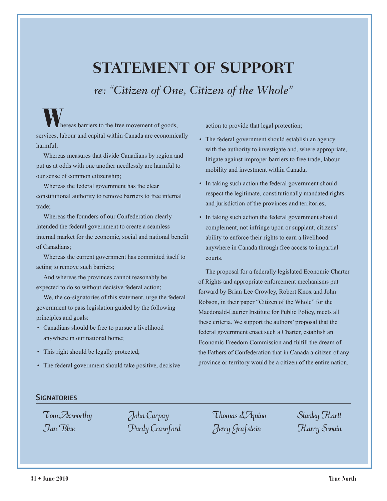# **STATEMENT OF SUPPORT**

*re: "Citizen of One, Citizen of the Whole"*

hereas barriers to the free movement of goods, services, labour and capital within Canada are economically harmful;

Whereas measures that divide Canadians by region and put us at odds with one another needlessly are harmful to our sense of common citizenship;

Whereas the federal government has the clear constitutional authority to remove barriers to free internal trade;

Whereas the founders of our Confederation clearly intended the federal government to create a seamless internal market for the economic, social and national benefit of Canadians;

Whereas the current government has committed itself to acting to remove such barriers;

And whereas the provinces cannot reasonably be expected to do so without decisive federal action;

We, the co-signatories of this statement, urge the federal government to pass legislation guided by the following principles and goals:

- Canadians should be free to pursue a livelihood anywhere in our national home;
- This right should be legally protected;
- The federal government should take positive, decisive

action to provide that legal protection;

- The federal government should establish an agency with the authority to investigate and, where appropriate, litigate against improper barriers to free trade, labour mobility and investment within Canada;
- In taking such action the federal government should respect the legitimate, constitutionally mandated rights and jurisdiction of the provinces and territories;
- In taking such action the federal government should complement, not infringe upon or supplant, citizens' ability to enforce their rights to earn a livelihood anywhere in Canada through free access to impartial courts.

The proposal for a federally legislated Economic Charter of Rights and appropriate enforcement mechanisms put forward by Brian Lee Crowley, Robert Knox and John Robson, in their paper "Citizen of the Whole" for the Macdonald-Laurier Institute for Public Policy, meets all these criteria. We support the authors' proposal that the federal government enact such a Charter, establish an Economic Freedom Commission and fulfill the dream of the Fathers of Confederation that in Canada a citizen of any province or territory would be a citizen of the entire nation.

#### **SIGNATORIES**

Tom Axworthy Ian Blue

John Carpay Purdy Crawford

Thomas d'Aquino Jerry Grafste in

Stanley Hartt Harry Swain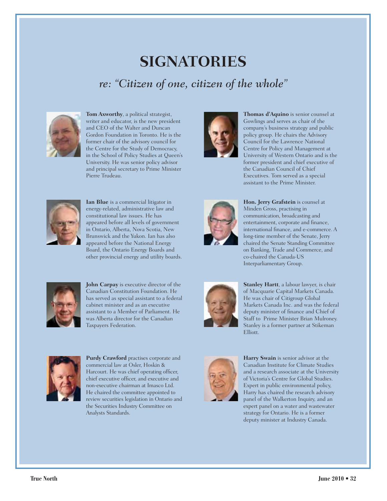# **SIGNATORIES**  *re: "Citizen of one, citizen of the whole"*



**Tom Axworthy**, a political strategist, writer and educator, is the new president and CEO of the Walter and Duncan Gordon Foundation in Toronto. He is the former chair of the advisory council for the Centre for the Study of Democracy, in the School of Policy Studies at Queen's University. He was senior policy advisor and principal secretary to Prime Minister Pierre Trudeau.



**Ian Blue** is a commercial litigator in energy-related, administrative law and constitutional law issues. He has appeared before all levels of government in Ontario, Alberta, Nova Scotia, New Brunswick and the Yukon. Ian has also appeared before the National Energy Board, the Ontario Energy Boards and other provincial energy and utility boards.



**John Carpay** is executive director of the Canadian Constitution Foundation. He has served as special assistant to a federal cabinet minister and as an executive assistant to a Member of Parliament. He was Alberta director for the Canadian Taxpayers Federation.



**Purdy Crawford** practises corporate and commercial law at Osler, Hoskin & Harcourt. He was chief operating officer, chief executive officer, and executive and non-executive chairman at Imasco Ltd. He chaired the committee appointed to review securities legislation in Ontario and the Securities Industry Committee on Analysts Standards.



**Thomas d'Aquino** is senior counsel at Gowlings and serves as chair of the company's business strategy and public policy group. He chairs the Advisory Council for the Lawrence National Centre for Policy and Management at University of Western Ontario and is the former president and chief executive of the Canadian Council of Chief Executives. Tom served as a special assistant to the Prime Minister.



**Hon. Jerry Grafstein** is counsel at Minden Gross, practising in communication, broadcasting and entertainment, corporate and finance, international finance, and e-commerce. A long-time member of the Senate, Jerry chaired the Senate Standing Committee on Banking, Trade and Commerce, and co-chaired the Canada-US Interparliamentary Group.



**Stanley Hartt**, a labour lawyer, is chair of Macquarie Capital Markets Canada. He was chair of Citigroup Global Markets Canada Inc. and was the federal deputy minister of finance and Chief of Staff to Prime Minister Brian Mulroney. Stanley is a former partner at Stikeman Elliott.



**Harry Swain** is senior advisor at the Canadian Institute for Climate Studies and a research associate at the University of Victoria's Centre for Global Studies. Expert in public environmental policy, Harry has chaired the research advisory panel of the Walkerton Inquiry, and an expert panel on a water and wastewater strategy for Ontario. He is a former deputy minister at Industry Canada.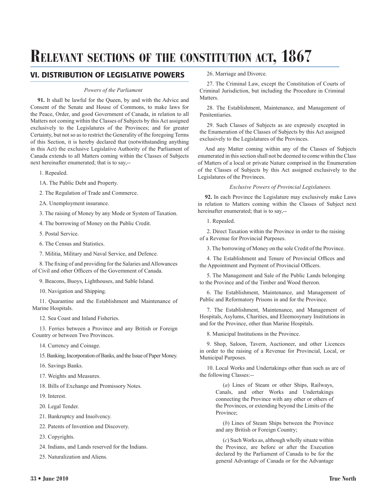# **Relevant sections of the constitution act, 1867**

#### VI. DISTRIBUTION OF LEGISLATIVE POWERS

#### *Powers of the Parliament*

**91.** It shall be lawful for the Queen, by and with the Advice and Consent of the Senate and House of Commons, to make laws for the Peace, Order, and good Government of Canada, in relation to all Matters not coming within the Classes of Subjects by this Act assigned exclusively to the Legislatures of the Provinces; and for greater Certainty, but not so as to restrict the Generality of the foregoing Terms of this Section, it is hereby declared that (notwithstanding anything in this Act) the exclusive Legislative Authority of the Parliament of Canada extends to all Matters coming within the Classes of Subjects next hereinafter enumerated; that is to say,--

1. Repealed.

1A. The Public Debt and Property.

2. The Regulation of Trade and Commerce.

2A. Unemployment insurance.

3. The raising of Money by any Mode or System of Taxation.

4. The borrowing of Money on the Public Credit.

5. Postal Service.

6. The Census and Statistics.

7. Militia, Military and Naval Service, and Defence.

8. The fixing of and providing for the Salaries and Allowances of Civil and other Officers of the Government of Canada.

9. Beacons, Buoys, Lighthouses, and Sable Island.

10. Navigation and Shipping.

11. Quarantine and the Establishment and Maintenance of Marine Hospitals.

12. Sea Coast and Inland Fisheries.

13. Ferries between a Province and any British or Foreign Country or between Two Provinces.

14. Currency and Coinage.

15. Banking, Incorporation of Banks, and the Issue of Paper Money.

16. Savings Banks.

17. Weights and Measures.

18. Bills of Exchange and Promissory Notes.

19. Interest.

20. Legal Tender.

21. Bankruptcy and Insolvency.

22. Patents of Invention and Discovery.

23. Copyrights.

24. Indians, and Lands reserved for the Indians.

25. Naturalization and Aliens.

26. Marriage and Divorce.

27. The Criminal Law, except the Constitution of Courts of Criminal Jurisdiction, but including the Procedure in Criminal Matters.

28. The Establishment, Maintenance, and Management of Penitentiaries.

29. Such Classes of Subjects as are expressly excepted in the Enumeration of the Classes of Subjects by this Act assigned exclusively to the Legislatures of the Provinces.

And any Matter coming within any of the Classes of Subjects enumerated in this section shall not be deemed to come within the Class of Matters of a local or private Nature comprised in the Enumeration of the Classes of Subjects by this Act assigned exclusively to the Legislatures of the Provinces.

#### *Exclusive Powers of Provincial Legislatures.*

**92.** In each Province the Legislature may exclusively make Laws in relation to Matters coming within the Classes of Subject next hereinafter enumerated; that is to say,--

1. Repealed.

2. Direct Taxation within the Province in order to the raising of a Revenue for Provincial Purposes.

3. The borrowing of Money on the sole Credit of the Province.

4. The Establishment and Tenure of Provincial Offices and the Appointment and Payment of Provincial Officers.

5. The Management and Sale of the Public Lands belonging to the Province and of the Timber and Wood thereon.

6. The Establishment, Maintenance, and Management of Public and Reformatory Prisons in and for the Province.

7. The Establishment, Maintenance, and Management of Hospitals, Asylums, Charities, and Eleemosynary Institutions in and for the Province, other than Marine Hospitals.

8. Municipal Institutions in the Province.

9. Shop, Saloon, Tavern, Auctioneer, and other Licences in order to the raising of a Revenue for Provincial, Local, or Municipal Purposes.

10. Local Works and Undertakings other than such as are of the following Classes:--

> (*a*) Lines of Steam or other Ships, Railways, Canals, and other Works and Undertakings connecting the Province with any other or others of the Provinces, or extending beyond the Limits of the Province;

> (*b*) Lines of Steam Ships between the Province and any British or Foreign Country;

> (*c*) Such Works as, although wholly situate within the Province, are before or after the Execution declared by the Parliament of Canada to be for the general Advantage of Canada or for the Advantage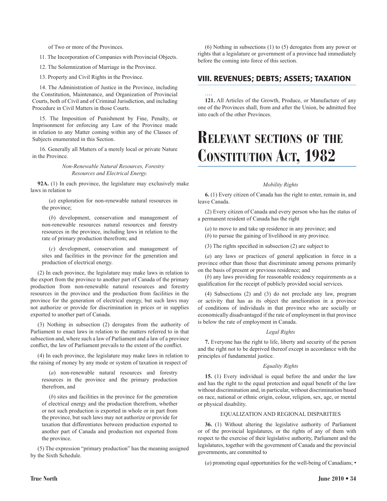of Two or more of the Provinces.

11. The Incorporation of Companies with Provincial Objects.

12. The Solemnization of Marriage in the Province.

13. Property and Civil Rights in the Province.

14. The Administration of Justice in the Province, including the Constitution, Maintenance, and Organization of Provincial Courts, both of Civil and of Criminal Jurisdiction, and including Procedure in Civil Matters in those Courts.

15. The Imposition of Punishment by Fine, Penalty, or Imprisonment for enforcing any Law of the Province made in relation to any Matter coming within any of the Classes of Subjects enumerated in this Section.

16. Generally all Matters of a merely local or private Nature in the Province.

> *Non-Renewable Natural Resources, Forestry Resources and Electrical Energy.*

**92A.** (1) In each province, the legislature may exclusively make laws in relation to

(*a*) exploration for non-renewable natural resources in the province;

(*b*) development, conservation and management of non-renewable resources natural resources and forestry resources in the province, including laws in relation to the rate of primary production therefrom; and

(*c*) development, conservation and management of sites and facilities in the province for the generation and production of electrical energy.

(2) In each province, the legislature may make laws in relation to the export from the province to another part of Canada of the primary production from non-renewable natural resources and forestry resources in the province and the production from facilities in the province for the generation of electrical energy, but such laws may not authorize or provide for discrimination in prices or in supplies exported to another part of Canada.

(3) Nothing in subsection (2) derogates from the authority of Parliament to enact laws in relation to the matters referred to in that subsection and, where such a law of Parliament and a law of a province conflict, the law of Parliament prevails to the extent of the conflict.

(4) In each province, the legislature may make laws in relation to the raising of money by any mode or system of taxation in respect of

(*a*) non-renewable natural resources and forestry resources in the province and the primary production therefrom, and

(*b*) sites and facilities in the province for the generation of electrical energy and the production therefrom, whether or not such production is exported in whole or in part from the province, but such laws may not authorize or provide for taxation that differentiates between production exported to another part of Canada and production not exported from the province.

(5) The expression "primary production" has the meaning assigned by the Sixth Schedule.

(6) Nothing in subsections (1) to (5) derogates from any power or rights that a legislature or government of a province had immediately before the coming into force of this section.

#### VIII. REVENUES; DEBTS; ASSETS; TAXATION

…. **121.** All Articles of the Growth, Produce, or Manufacture of any one of the Provinces shall, from and after the Union, be admitted free into each of the other Provinces.

# **Relevant sections of the Constitution Act, 1982**

#### *Mobility Rights*

**6.** (1) Every citizen of Canada has the right to enter, remain in, and leave Canada.

(2) Every citizen of Canada and every person who has the status of a permanent resident of Canada has the right

- (*a*) to move to and take up residence in any province; and
- (*b*) to pursue the gaining of livelihood in any province.
- (3) The rights specified in subsection (2) are subject to

(*a*) any laws or practices of general application in force in a province other than those that discriminate among persons primarily on the basis of present or previous residence; and

(*b*) any laws providing for reasonable residency requirements as a qualification for the receipt of publicly provided social services.

(4) Subsections (2) and (3) do not preclude any law, program or activity that has as its object the amelioration in a province of conditions of individuals in that province who are socially or economically disadvantaged if the rate of employment in that province is below the rate of employment in Canada.

#### *Legal Rights*

**7.** Everyone has the right to life, liberty and security of the person and the right not to be deprived thereof except in accordance with the principles of fundamental justice.

#### *Equality Rights*

**15.** (1) Every individual is equal before the and under the law and has the right to the equal protection and equal benefit of the law without discrimination and, in particular, without discrimination based on race, national or ethnic origin, colour, religion, sex, age, or mental or physical disability.

#### EQUALIZATION AND REGIONAL DISPARITIES

**36.** (1) Without altering the legislative authority of Parliament or of the provincial legislatures, or the rights of any of them with respect to the exercise of their legislative authority, Parliament and the legislatures, together with the government of Canada and the provincial governments, are committed to

(*a*) promoting equal opportunities for the well-being of Canadians; •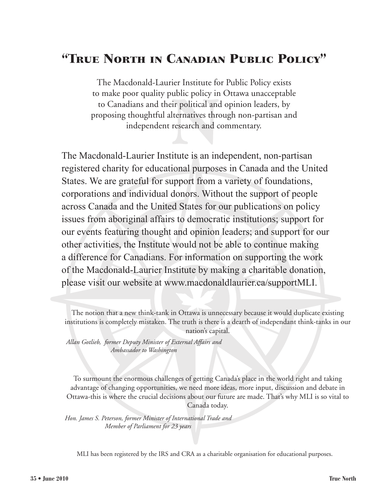# "True North in Canadian Public Policy"

The Macdonald-Laurier Institute for Public Policy exists to make poor quality public policy in Ottawa unacceptable to Canadians and their political and opinion leaders, by proposing thoughtful alternatives through non-partisan and independent research and commentary.

The Macdonald-Laurier Institute is an independent, non-partisan registered charity for educational purposes in Canada and the United States. We are grateful for support from a variety of foundations, corporations and individual donors. Without the support of people across Canada and the United States for our publications on policy issues from aboriginal affairs to democratic institutions; support for our events featuring thought and opinion leaders; and support for our other activities, the Institute would not be able to continue making a difference for Canadians. For information on supporting the work of the Macdonald-Laurier Institute by making a charitable donation, please visit our website at www.macdonaldlaurier.ca/supportMLI.

*Allan Gotlieb, former Deputy Minister of External Affairs and Ambassador to Washington*

To surmount the enormous challenges of getting Canada's place in the world right and taking advantage of changing opportunities, we need more ideas, more input, discussion and debate in Ottawa-this is where the crucial decisions about our future are made. That's why MLI is so vital to Canada today.

*Hon. James S. Peterson, former Minister of International Trade and Member of Parliament for 23 years*

MLI has been registered by the IRS and CRA as a charitable organisation for educational purposes.

The notion that a new think-tank in Ottawa is unnecessary because it would duplicate existing institutions is completely mistaken. The truth is there is a dearth of independant think-tanks in our nation's capital.